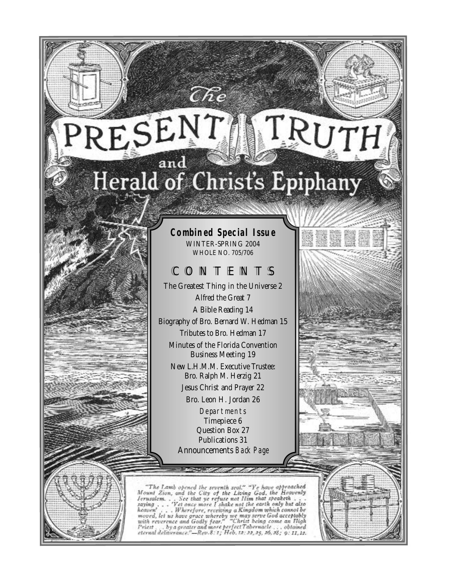# RESEN I RU7 Herald of Christ's Epiphany

# **Combined Special Issue**

WINTER-SPRING 2004 WHOLE NO. 705/706

# CONTENTS

The Greatest Thing in the Universe 2 Alfred the Great 7 A Bible Reading 14 Biography of Bro. Bernard W. Hedman 15 Tributes to Bro. Hedman 17 Minutes of the Florida Convention Business Meeting 19 New L.H.M.M. Executive Trustee: Bro. Ralph M. Herzig 21 Jesus Christ and Prayer 22 Bro. Leon H. Jordan 26 Departments Timepiece 6

Question Box 27 Publications 31 Announcements *Back Page*

"The Lamb opened the seventh seal." "Ye have approached Mount Zion, and the City of the Living God, the Heavenly Jerusalem... See that ye refuse not Him that speaketh...<br>saying ... "Yet once more I shake not the earth onl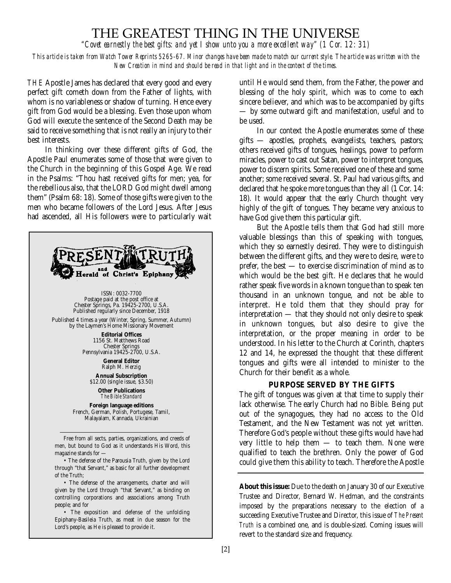# THE GREATEST THING IN THE UNIVERSE

*"Covet earnestly the best gifts: and yet I show unto you a more excellent way" (1 Cor. 12: 31)*

*This article is taken from Watch Tower Reprints 5265-67. Minor changes have been made to match our current style. The article was written with the New Creation in mind and should be read in that light and in the context of the times.*

THE Apostle James has declared that every good and every perfect gift cometh down from the Father of lights, with whom is no variableness or shadow of turning. Hence every gift from God would be a blessing. Even those upon whom God will execute the sentence of the Second Death may be said to receive something that is not really an injury to their best interests.

In thinking over these different gifts of God, the Apostle Paul enumerates some of those that were given to the Church in the beginning of this Gospel Age. We read in the Psalms: "Thou hast received gifts for men; yea, for the rebellious also, that the LORD God might dwell among them" (Psalm 68: 18). Some of those gifts were given to the men who became followers of the Lord Jesus. After Jesus had ascended, all His followers were to particularly wait



Epiphany-Basileia Truth, as meat in due season for the Lord's people, as He is pleased to provide it.

until He would send them, from the Father, the power and blessing of the holy spirit, which was to come to each sincere believer, and which was to be accompanied by gifts — by some outward gift and manifestation, useful and to be used.

In our context the Apostle enumerates some of these gifts — apostles, prophets, evangelists, teachers, pastors; others received gifts of tongues, healings, power to perform miracles, power to cast out Satan, power to interpret tongues, power to discern spirits. Some received one of these and some another; some received several. St. Paul had various gifts, and declared that he spoke more tongues than they all (1 Cor. 14: 18). It would appear that the early Church thought very highly of the gift of tongues. They became very anxious to have God give them this particular gift.

But the Apostle tells them that God had still more valuable blessings than this of speaking with tongues, which they so earnestly desired. They were to distinguish between the different gifts, and they were to desire, were to prefer, the best — to exercise discrimination of mind as to which would be the best gift. He declares that he would rather speak five words in a known tongue than to speak ten thousand in an unknown tongue, and not be able to interpret. He told them that they should pray for interpretation — that they should not only desire to speak in unknown tongues, but also desire to give the interpretation, or the proper meaning in order to be understood. In his letter to the Church at Corinth, chapters 12 and 14, he expressed the thought that these different tongues and gifts were all intended to minister to the Church for their benefit as a whole.

#### **PURPOSE SERVED BY THE GIFTS**

The gift of tongues was given at that time to supply their lack otherwise. The early Church had no Bible. Being put out of the synagogues, they had no access to the Old Testament, and the New Testament was not yet written. Therefore God's people without these gifts would have had very little to help them — to teach them. None were qualified to teach the brethren. Only the power of God could give them this ability to teach. Therefore the Apostle

**About this issue:** Due to the death on January 30 of our Executive Trustee and Director, Bernard W. Hedman, and the constraints imposed by the preparations necessary to the election of a succeeding Executive Trustee and Director, this issue of *The Present Truth* is a combined one, and is double-sized. Coming issues will revert to the standard size and frequency.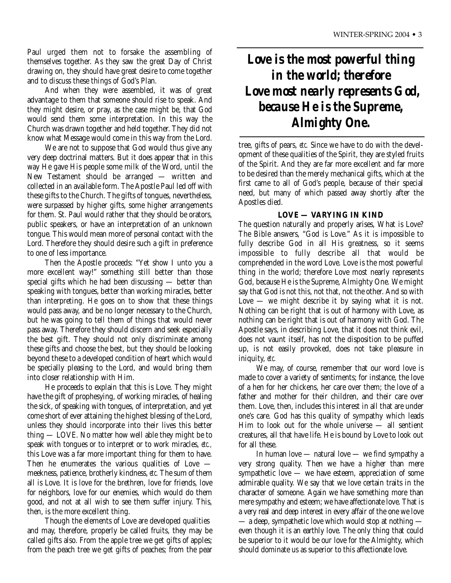Paul urged them not to forsake the assembling of themselves together. As they saw the great Day of Christ drawing on, they should have great desire to come together and to discuss these things of God's Plan.

And when they were assembled, it was of great advantage to them that someone should rise to speak. And they might desire, or pray, as the case might be, that God would send them some interpretation. In this way the Church was drawn together and held together. They did not know what Message would come in this way from the Lord.

We are not to suppose that God would thus give any very deep doctrinal matters. But it does appear that in this way He gave His people some milk of the Word, until the New Testament should be arranged — written and collected in an available form. The Apostle Paul led off with these gifts to the Church. The gifts of tongues, nevertheless, were surpassed by higher gifts, some higher arrangements for them. St. Paul would rather that they should be orators, public speakers, or have an interpretation of an unknown tongue. This would mean more of personal contact with the Lord. Therefore they should desire such a gift in preference to one of less importance.

Then the Apostle proceeds: "Yet show I unto you a more excellent way!" something still better than those special gifts which he had been discussing — better than speaking with tongues, better than working miracles, better than interpreting. He goes on to show that these things would pass away, and be no longer necessary to the Church, but he was going to tell them of things that would never pass away. Therefore they should discern and seek especially the best gift. They should not only discriminate among these gifts and choose the best, but they should be looking beyond these to a developed condition of heart which would be specially pleasing to the Lord, and would bring them into closer relationship with Him.

He proceeds to explain that this is Love. They might have the gift of prophesying, of working miracles, of healing the sick, of speaking with tongues, of interpretation, and yet come short of ever attaining the highest blessing of the Lord, unless they should incorporate into their lives this better thing — LOVE. No matter how well able they might be to speak with tongues or to interpret or to work miracles, *etc.,* this Love was a far more important thing for them to have. Then he enumerates the various qualities of Love meekness, patience, brotherly kindness, *etc.* The sum of them all is Love. It is love for the brethren, love for friends, love for neighbors, love for our enemies, which would do them good, and not at all wish to see them suffer injury. This, then, is the more excellent thing.

Though the elements of Love are developed qualities and may, therefore, properly be called fruits, they may be called gifts also. From the apple tree we get gifts of apples; from the peach tree we get gifts of peaches; from the pear

# *Love is the most powerful thing in the world; therefore Love most nearly represents God, because He is the Supreme, Almighty One.*

tree, gifts of pears, *etc.* Since we have to do with the development of these qualities of the Spirit, they are styled fruits of the Spirit. And they are far more excellent and far more to be desired than the merely mechanical gifts, which at the first came to all of God's people, because of their special need, but many of which passed away shortly after the Apostles died.

# **LOVE — VARYING IN KIND**

The question naturally and properly arises, What is Love? The Bible answers, "God is Love." As it is impossible to fully describe God in all His greatness, so it seems impossible to fully describe all that would be comprehended in the word Love. Love is the most powerful thing in the world; therefore Love most nearly represents God, because He is the Supreme, Almighty One. We might say that God is not this, not that, not the other. And so with Love  $-$  we might describe it by saying what it is not. Nothing can be right that is out of harmony with Love, as nothing can be right that is out of harmony with God. The Apostle says, in describing Love, that it does not think evil, does not vaunt itself, has not the disposition to be puffed up, is not easily provoked, does not take pleasure in iniquity, *etc.*

We may, of course, remember that our word love is made to cover a variety of sentiments; for instance, the love of a hen for her chickens, her care over them; the love of a father and mother for their children, and their care over them. Love, then, includes this interest in all that are under one's care. God has this quality of sympathy which leads Him to look out for the whole universe — all sentient creatures, all that have life. He is bound by Love to look out for all these.

In human love — natural love — we find sympathy a very strong quality. Then we have a higher than mere sympathetic love — we have esteem, appreciation of some admirable quality. We say that we love certain traits in the character of someone. Again we have something more than mere sympathy and esteem; we have affectionate love. That is a very real and deep interest in every affair of the one we love — a deep, sympathetic love which would stop at nothing even though it is an earthly love. The only thing that could be superior to it would be our love for the Almighty, which should dominate us as superior to this affectionate love.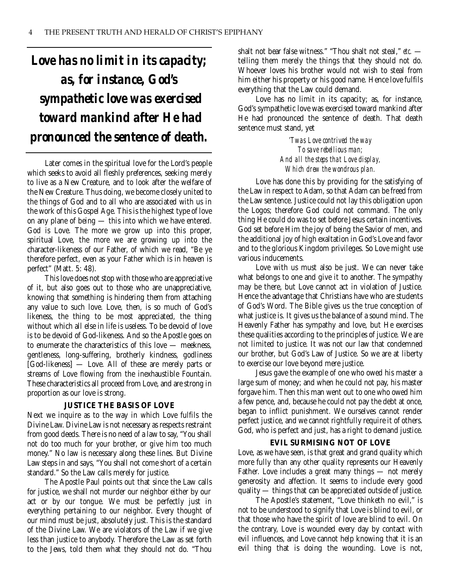# *Love has no limit in its capacity; as, for instance, God's sympathetic love was exercised toward mankind after He had pronounced the sentence of death.*

Later comes in the spiritual love for the Lord's people which seeks to avoid all fleshly preferences, seeking merely to live as a New Creature, and to look after the welfare of the New Creature. Thus doing, we become closely united to the things of God and to all who are associated with us in the work of this Gospel Age. This is the highest type of love on any plane of being — this into which we have entered. God is Love. The more we grow up into this proper, spiritual Love, the more we are growing up into the character-likeness of our Father, of which we read, "Be ye therefore perfect, even as your Father which is in heaven is perfect" (Matt. 5: 48).

This love does not stop with those who are appreciative of it, but also goes out to those who are unappreciative, knowing that something is hindering them from attaching any value to such love. Love, then, is so much of God's likeness, the thing to be most appreciated, the thing without which all else in life is useless. To be devoid of love is to be devoid of God-likeness. And so the Apostle goes on to enumerate the characteristics of this love — meekness, gentleness, long-suffering, brotherly kindness, godliness [God-likeness] — Love. All of these are merely parts or streams of Love flowing from the inexhaustible Fountain. These characteristics all proceed from Love, and are strong in proportion as our love is strong.

#### **JUSTICE THE BASIS OF LOVE**

Next we inquire as to the way in which Love fulfils the Divine Law. Divine Law is not necessary as respects restraint from good deeds. There is no need of a law to say, "You shall not do too much for your brother, or give him too much money." No law is necessary along these lines. But Divine Law steps in and says, "You shall not come short of a certain standard." So the Law calls merely for justice.

The Apostle Paul points out that since the Law calls for justice, we shall not murder our neighbor either by our act or by our tongue. We must be perfectly just in everything pertaining to our neighbor. Every thought of our mind must be just, absolutely just. This is the standard of the Divine Law. We are violators of the Law if we give less than justice to anybody. Therefore the Law as set forth to the Jews, told them what they should not do. "Thou

shalt not bear false witness." "Thou shalt not steal," *etc.* telling them merely the things that they should not do. Whoever loves his brother would not wish to steal from him either his property or his good name. Hence love fulfils everything that the Law could demand.

Love has no limit in its capacity; as, for instance, God's sympathetic love was exercised toward mankind after He had pronounced the sentence of death. That death sentence must stand, yet

> *'Twas Love contrived the way To save rebellious man; And all the steps that Love display, Which drew the wondrous plan.*

Love has done this by providing for the satisfying of the Law in respect to Adam, so that Adam can be freed from the Law sentence. Justice could not lay this obligation upon the Logos; therefore God could not command. The only thing He could do was to set before Jesus certain incentives. God set before Him the joy of being the Savior of men, and the additional joy of high exaltation in God's Love and favor and to the glorious Kingdom privileges. So Love might use various inducements.

Love with us must also be just. We can never take what belongs to one and give it to another. The sympathy may be there, but Love cannot act in violation of Justice. Hence the advantage that Christians have who are students of God's Word. The Bible gives us the true conception of what justice is. It gives us the balance of a sound mind. The Heavenly Father has sympathy and love, but He exercises these qualities according to the principles of justice. We are not limited to justice. It was not our law that condemned our brother, but God's Law of Justice. So we are at liberty to exercise our love beyond mere justice.

Jesus gave the example of one who owed his master a large sum of money; and when he could not pay, his master forgave him. Then this man went out to one who owed him a few pence, and, because he could not pay the debt at once, began to inflict punishment. We ourselves cannot render perfect justice, and we cannot rightfully require it of others. God, who is perfect and just, has a right to demand justice.

# **EVIL SURMISING NOT OF LOVE**

Love, as we have seen, is that great and grand quality which more fully than any other quality represents our Heavenly Father. Love includes a great many things — not merely generosity and affection. It seems to include every good quality  $\ddot{\hspace{2mm}}$  things that can be appreciated outside of justice.

The Apostle's statement, "Love thinketh no evil," is not to be understood to signify that Love is blind to evil, or that those who have the spirit of love are blind to evil. On the contrary, Love is wounded every day by contact with evil influences, and Love cannot help knowing that it is an evil thing that is doing the wounding. Love is not,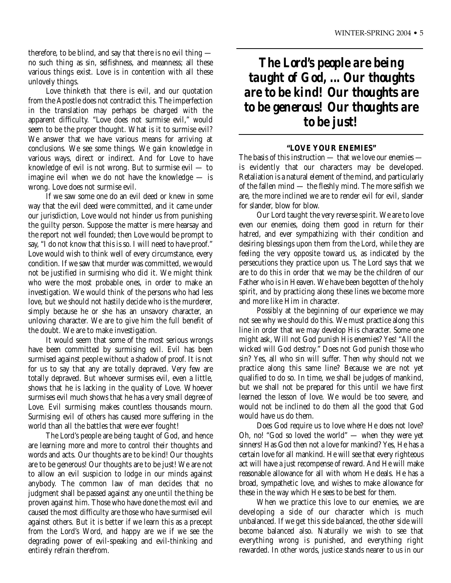therefore, to be blind, and say that there is no evil thing no such thing as sin, selfishness, and meanness; all these various things exist. Love is in contention with all these unlovely things.

Love thinketh that there is evil, and our quotation from the Apostle does not contradict this. The imperfection in the translation may perhaps be charged with the apparent difficulty. "Love does not surmise evil," would seem to be the proper thought. What is it to surmise evil? We answer that we have various means for arriving at conclusions. We see some things. We gain knowledge in various ways, direct or indirect. And for Love to have knowledge of evil is not wrong. But to surmise evil — to imagine evil when we do not have the knowledge — is wrong. Love does not surmise evil.

If we saw some one do an evil deed or knew in some way that the evil deed were committed, and it came under our jurisdiction, Love would not hinder us from punishing the guilty person. Suppose the matter is mere hearsay and the report not well founded; then Love would be prompt to say, "I do not know that this is so. I will need to have proof." Love would wish to think well of every circumstance, every condition. If we saw that murder was committed, we would not be justified in surmising who did it. We might think who were the most probable ones, in order to make an investigation. We would think of the persons who had less love, but we should not hastily decide who is the murderer, simply because he or she has an unsavory character, an unloving character. We are to give him the full benefit of the doubt. We are to make investigation.

It would seem that some of the most serious wrongs have been committed by surmising evil. Evil has been surmised against people without a shadow of proof. It is not for us to say that any are totally depraved. Very few are totally depraved. But whoever surmises evil, even a little, shows that he is lacking in the quality of Love. Whoever surmises evil much shows that he has a very small degree of Love. Evil surmising makes countless thousands mourn. Surmising evil of others has caused more suffering in the world than all the battles that were ever fought!

The Lord's people are being taught of God, and hence are learning more and more to control their thoughts and words and acts. Our thoughts are to be kind! Our thoughts are to be generous! Our thoughts are to be just! We are not to allow an evil suspicion to lodge in our minds against anybody. The common law of man decides that no judgment shall be passed against any one until the thing be proven against him. Those who have done the most evil and caused the most difficulty are those who have surmised evil against others. But it is better if we learn this as a precept from the Lord's Word, and happy are we if we see the degrading power of evil-speaking and evil-thinking and entirely refrain therefrom.

*The Lord's people are being taught of God, ... Our thoughts are to be kind! Our thoughts are to be generous! Our thoughts are to be just!* 

### **"LOVE YOUR ENEMIES"**

The basis of this instruction — that we love our enemies is evidently that our characters may be developed. Retaliation is a natural element of the mind, and particularly of the fallen mind — the fleshly mind. The more selfish we are, the more inclined we are to render evil for evil, slander for slander, blow for blow.

Our Lord taught the very reverse spirit. We are to love even our enemies, doing them good in return for their hatred, and ever sympathizing with their condition and desiring blessings upon them from the Lord, while they are feeling the very opposite toward us, as indicated by the persecutions they practice upon us. The Lord says that we are to do this in order that we may be the children of our Father who is in Heaven. We have been begotten of the holy spirit, and by practicing along these lines we become more and more like Him in character.

Possibly at the beginning of our experience we may not see why we should do this. We must practice along this line in order that we may develop His character. Some one might ask, Will not God punish His enemies? Yes! "All the wicked will God destroy." Does not God punish those who sin? Yes, all who sin will suffer. Then why should not we practice along this same line? Because we are not yet qualified to do so. In time, we shall be judges of mankind, but we shall not be prepared for this until we have first learned the lesson of love. We would be too severe, and would not be inclined to do them all the good that God would have us do them.

Does God require us to love where He does not love? Oh, no! "God so loved the world" — when they were yet sinners! Has God then not a love for mankind? Yes, He has a certain love for all mankind. He will see that every righteous act will have a just recompense of reward. And He will make reasonable allowance for all with whom He deals. He has a broad, sympathetic love, and wishes to make allowance for these in the way which He sees to be best for them.

When we practice this love to our enemies, we are developing a side of our character which is much unbalanced. If we get this side balanced, the other side will become balanced also. Naturally we wish to see that everything wrong is punished, and everything right rewarded. In other words, justice stands nearer to us in our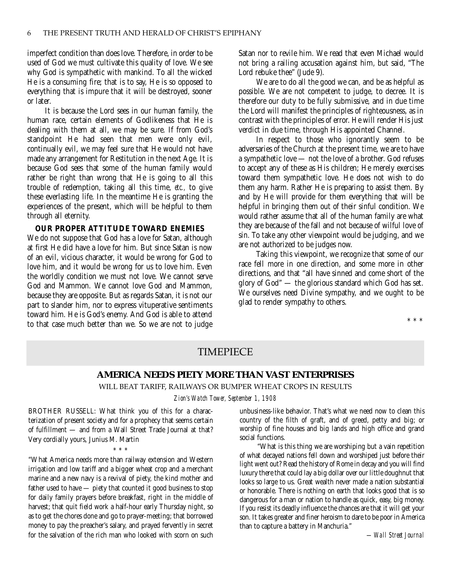imperfect condition than does love. Therefore, in order to be used of God we must cultivate this quality of love. We see why God is sympathetic with mankind. To all the wicked He is a consuming fire; that is to say, He is so opposed to everything that is impure that it will be destroyed, sooner or later.

It is because the Lord sees in our human family, the human race, certain elements of Godlikeness that He is dealing with them at all, we may be sure. If from God's standpoint He had seen that men were only evil, continually evil, we may feel sure that He would not have made any arrangement for Restitution in the next Age. It is because God sees that some of the human family would rather be right than wrong that He is going to all this trouble of redemption, taking all this time, *etc.,* to give these everlasting life. In the meantime He is granting the experiences of the present, which will be helpful to them through all eternity.

#### **OUR PROPER ATTITUDE TOWARD ENEMIES**

We do not suppose that God has a love for Satan, although at first He did have a love for him. But since Satan is now of an evil, vicious character, it would be wrong for God to love him, and it would be wrong for us to love him. Even the worldly condition we must not love. We cannot serve God and Mammon. We cannot love God and Mammon, because they are opposite. But as regards Satan, it is not our part to slander him, nor to express vituperative sentiments toward him. He is God's enemy. And God is able to attend to that case much better than we. So we are not to judge Satan nor to revile him. We read that even Michael would not bring a railing accusation against him, but said, "The Lord rebuke thee" (Jude 9).

We are to do all the good we can, and be as helpful as possible. We are not competent to judge, to decree. It is therefore our duty to be fully submissive, and in due time the Lord will manifest the principles of righteousness, as in contrast with the principles of error. He will render His just verdict in due time, through His appointed Channel.

In respect to those who ignorantly seem to be adversaries of the Church at the present time, we are to have a sympathetic love — not the love of a brother. God refuses to accept any of these as His children; He merely exercises toward them sympathetic love. He does not wish to do them any harm. Rather He is preparing to assist them. By and by He will provide for them everything that will be helpful in bringing them out of their sinful condition. We would rather assume that all of the human family are what they are because of the fall and not because of wilful love of sin. To take any other viewpoint would be judging, and we are not authorized to be judges now.

Taking this viewpoint, we recognize that some of our race fell more in one direction, and some more in other directions, and that "all have sinned and come short of the glory of God" — the glorious standard which God has set. We ourselves need Divine sympathy, and we ought to be glad to render sympathy to others.

\*\*\*

# TIMEPIECE

#### **AMERICA NEEDS PIETY MORE THAN VAST ENTERPRISES**

WILL BEAT TARIFF, RAILWAYS OR BUMPER WHEAT CROPS IN RESULTS

*Zion's Watch Tower, September 1, 1908*

BROTHER RUSSELL: What think you of this for a characterization of present society and for a prophecy that seems certain of fulfillment — and from a Wall Street Trade Journal at that? Very cordially yours, Junius M. Martin

\* \* \*

"What America needs more than railway extension and Western irrigation and low tariff and a bigger wheat crop and a merchant marine and a new navy is a revival of piety, the kind mother and father used to have — piety that counted it good business to stop for daily family prayers before breakfast, right in the middle of harvest; that quit field work a half-hour early Thursday night, so as to get the chores done and go to prayer-meeting; that borrowed money to pay the preacher's salary, and prayed fervently in secret for the salvation of the rich man who looked with scorn on such

unbusiness-like behavior. That's what we need now to clean this country of the filth of graft, and of greed, petty and big; or worship of fine houses and big lands and high office and grand social functions.

"What is this thing we are worshiping but a vain repetition of what decayed nations fell down and worshiped just before their light went out? Read the history of Rome in decay and you will find luxury there that could lay a big dollar over our little doughnut that looks so large to us. Great wealth never made a nation substantial or honorable. There is nothing on earth that looks good that is so dangerous for a man or nation to handle as quick, easy, big money. If you resist its deadly influence the chances are that it will get your son. It takes greater and finer heroism to dare to be poor in America than to capture a battery in Manchuria."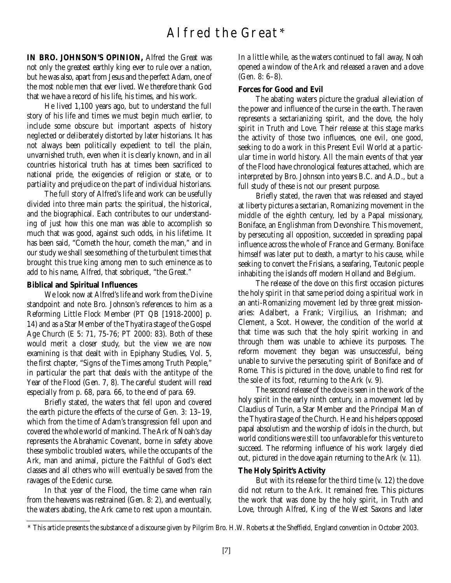# Alfred the Great\*

**IN BRO. JOHNSON'S OPINION,** Alfred the Great was not only the greatest earthly king ever to rule over a nation, but he was also, apart from Jesus and the perfect Adam, one of the most noble men that ever lived. We therefore thank God that we have a record of his life, his times, and his work.

He lived 1,100 years ago, but to understand the full story of his life and times we must begin much earlier, to include some obscure but important aspects of history neglected or deliberately distorted by later historians. It has not always been politically expedient to tell the plain, unvarnished truth, even when it is clearly known, and in all countries historical truth has at times been sacrificed to national pride, the exigencies of religion or state, or to partiality and prejudice on the part of individual historians.

The full story of Alfred's life and work can be usefully divided into three main parts: the spiritual, the historical, and the biographical. Each contributes to our understanding of just how this one man was able to accomplish so much that was good, against such odds, in his lifetime. It has been said, "Cometh the hour, cometh the man," and in our study we shall see something of the turbulent times that brought this true king among men to such eminence as to add to his name, Alfred, that sobriquet, "the Great."

#### **Biblical and Spiritual Influences**

We look now at Alfred's life and work from the Divine standpoint and note Bro. Johnson's references to him as a Reforming Little Flock Member (PT QB [1918-2000] p. 14) and as a Star Member of the Thyatira stage of the Gospel Age Church (E 5: 71, 75-76; PT 2000: 83). Both of these would merit a closer study, but the view we are now examining is that dealt with in Epiphany Studies, Vol. 5, the first chapter, "Signs of the Times among Truth People," in particular the part that deals with the antitype of the Year of the Flood (Gen. 7, 8). The careful student will read especially from p. 68, para. 66, to the end of para. 69.

Briefly stated, the waters that fell upon and covered the earth picture the effects of the curse of Gen. 3: 13–19, which from the time of Adam's transgression fell upon and covered the whole world of mankind. The Ark of Noah's day represents the Abrahamic Covenant, borne in safety above these symbolic troubled waters, while the occupants of the Ark, man and animal, picture the Faithful of God's elect classes and all others who will eventually be saved from the ravages of the Edenic curse.

In that year of the Flood, the time came when rain from the heavens was restrained (Gen. 8: 2), and eventually, the waters abating, the Ark came to rest upon a mountain.

In a little while, as the waters continued to fall away, Noah opened a window of the Ark and released a raven and a dove (Gen. 8: 6–8).

#### **Forces for Good and Evil**

The abating waters picture the gradual alleviation of the power and influence of the curse in the earth. The raven represents a sectarianizing spirit, and the dove, the holy spirit in Truth and Love. Their release at this stage marks the activity of those two influences, one evil, one good, seeking to do a work in this Present Evil World at a particular time in world history. All the main events of that year of the Flood have chronological features attached, which are interpreted by Bro. Johnson into years B.C. and A.D., but a full study of these is not our present purpose.

Briefly stated, the raven that was released and stayed at liberty pictures a sectarian, Romanizing movement in the middle of the eighth century, led by a Papal missionary, Boniface, an Englishman from Devonshire. This movement, by persecuting all opposition, succeeded in spreading papal influence across the whole of France and Germany. Boniface himself was later put to death, a martyr to his cause, while seeking to convert the Frisians, a seafaring, Teutonic people inhabiting the islands off modern Holland and Belgium.

The release of the dove on this first occasion pictures the holy spirit in that same period doing a spiritual work in an anti-Romanizing movement led by three great missionaries: Adalbert, a Frank; Virgilius, an Irishman; and Clement, a Scot. However, the condition of the world at that time was such that the holy spirit working in and through them was unable to achieve its purposes. The reform movement they began was unsuccessful, being unable to survive the persecuting spirit of Boniface and of Rome. This is pictured in the dove, unable to find rest for the sole of its foot, returning to the Ark (v. 9).

The second release of the dove is seen in the work of the holy spirit in the early ninth century, in a movement led by Claudius of Turin, a Star Member and the Principal Man of the Thyatira stage of the Church. He and his helpers opposed papal absolutism and the worship of idols in the church, but world conditions were still too unfavorable for this venture to succeed. The reforming influence of his work largely died out, pictured in the dove again returning to the Ark (v. 11).

#### **The Holy Spirit's Activity**

But with its release for the third time (v. 12) the dove did not return to the Ark. It remained free. This pictures the work that was done by the holy spirit, in Truth and Love, through Alfred, King of the West Saxons and later

<sup>\*</sup> This article presents the substance of a discourse given by Pilgrim Bro. H.W. Roberts at the Sheffield, England convention in October 2003.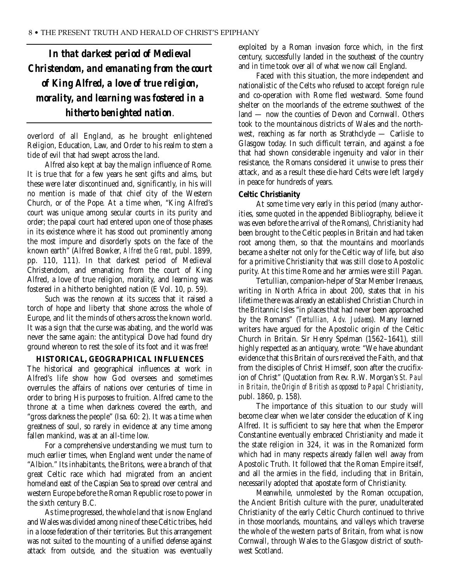*In that darkest period of Medieval Christendom, and emanating from the court of King Alfred, a love of true religion, morality, and learning was fostered in a hitherto benighted nation*.

overlord of all England, as he brought enlightened Religion, Education, Law, and Order to his realm to stem a tide of evil that had swept across the land.

Alfred also kept at bay the malign influence of Rome. It is true that for a few years he sent gifts and alms, but these were later discontinued and, significantly, in his will no mention is made of that chief city of the Western Church, or of the Pope. At a time when, "King Alfred's court was unique among secular courts in its purity and order; the papal court had entered upon one of those phases in its existence where it has stood out prominently among the most impure and disorderly spots on the face of the known earth" (Alfred Bowker, *Alfred the Great*, publ. 1899, pp. 110, 111). In that darkest period of Medieval Christendom, and emanating from the court of King Alfred, a love of true religion, morality, and learning was fostered in a hitherto benighted nation (E Vol. 10, p. 59).

Such was the renown at its success that it raised a torch of hope and liberty that shone across the whole of Europe, and lit the minds of others across the known world. It was a sign that the curse was abating, and the world was never the same again: the antitypical Dove had found dry ground whereon to rest the sole of its foot and it was free!

#### **HISTORICAL, GEOGRAPHICAL INFLUENCES**

The historical and geographical influences at work in Alfred's life show how God oversees and sometimes overrules the affairs of nations over centuries of time in order to bring His purposes to fruition. Alfred came to the throne at a time when darkness covered the earth, and "gross darkness the people" (Isa. 60: 2). It was a time when greatness of soul, so rarely in evidence at any time among fallen mankind, was at an all-time low.

For a comprehensive understanding we must turn to much earlier times, when England went under the name of "Albion." Its inhabitants, the Britons, were a branch of that great Celtic race which had migrated from an ancient homeland east of the Caspian Sea to spread over central and western Europe before the Roman Republic rose to power in the sixth century B.C.

As time progressed, the whole land that is now England and Wales was divided among nine of these Celtic tribes, held in a loose federation of their territories. But this arrangement was not suited to the mounting of a unified defense against attack from outside, and the situation was eventually exploited by a Roman invasion force which, in the first century, successfully landed in the southeast of the country and in time took over all of what we now call England.

Faced with this situation, the more independent and nationalistic of the Celts who refused to accept foreign rule and co-operation with Rome fled westward. Some found shelter on the moorlands of the extreme southwest of the land — now the counties of Devon and Cornwall. Others took to the mountainous districts of Wales and the northwest, reaching as far north as Strathclyde — Carlisle to Glasgow today. In such difficult terrain, and against a foe that had shown considerable ingenuity and valor in their resistance, the Romans considered it unwise to press their attack, and as a result these die-hard Celts were left largely in peace for hundreds of years.

#### **Celtic Christianity**

At some time very early in this period (many authorities, some quoted in the appended Bibliography, believe it was even before the arrival of the Romans), Christianity had been brought to the Celtic peoples in Britain and had taken root among them, so that the mountains and moorlands became a shelter not only for the Celtic way of life, but also for a primitive Christianity that was still close to Apostolic purity. At this time Rome and her armies were still Pagan.

Tertullian, companion-helper of Star Member Irenaeus, writing in North Africa in about 200, states that in his lifetime there was already an established Christian Church in the Britannic Isles "in places that had never been approached by the Romans" (*Tertullian, Adv. Judaeos*). Many learned writers have argued for the Apostolic origin of the Celtic Church in Britain. Sir Henry Spelman (1562–1641), still highly respected as an antiquary, wrote: "We have abundant evidence that this Britain of ours received the Faith, and that from the disciples of Christ Himself, soon after the crucifixion of Christ" (Quotation from Rev. R.W. Morgan's *St. Paul in Britain, the Origin of British as opposed to Papal Christianity*, publ. 1860, p. 158).

The importance of this situation to our study will become clear when we later consider the education of King Alfred. It is sufficient to say here that when the Emperor Constantine eventually embraced Christianity and made it the state religion in 324, it was in the Romanized form which had in many respects already fallen well away from Apostolic Truth. It followed that the Roman Empire itself, and all the armies in the field, including that in Britain, necessarily adopted that apostate form of Christianity.

Meanwhile, unmolested by the Roman occupation, the Ancient British culture with the purer, unadulterated Christianity of the early Celtic Church continued to thrive in those moorlands, mountains, and valleys which traverse the whole of the western parts of Britain, from what is now Cornwall, through Wales to the Glasgow district of southwest Scotland.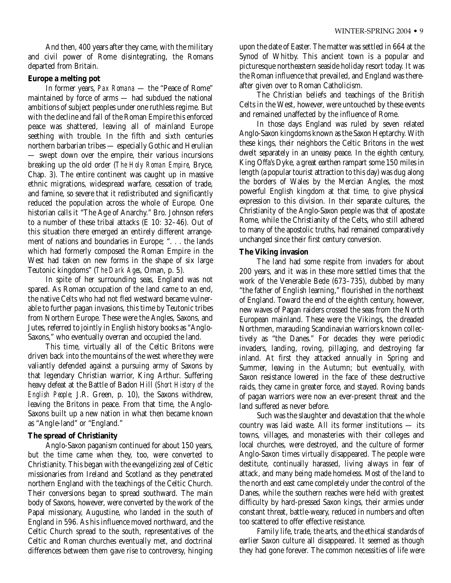And then, 400 years after they came, with the military and civil power of Rome disintegrating, the Romans departed from Britain.

### **Europe a melting pot**

In former years, *Pax Romana* — the "Peace of Rome" maintained by force of arms — had subdued the national ambitions of subject peoples under one ruthless regime. But with the decline and fall of the Roman Empire this enforced peace was shattered, leaving all of mainland Europe seething with trouble. In the fifth and sixth centuries northern barbarian tribes — especially Gothic and Herulian — swept down over the empire, their various incursions breaking up the old order (*The Holy Roman Empire*, Bryce, Chap. 3). The entire continent was caught up in massive ethnic migrations, widespread warfare, cessation of trade, and famine, so severe that it redistributed and significantly reduced the population across the whole of Europe. One historian calls it "The Age of Anarchy." Bro. Johnson refers to a number of these tribal attacks (E 10: 32–46). Out of this situation there emerged an entirely different arrangement of nations and boundaries in Europe; ". . . the lands which had formerly composed the Roman Empire in the West had taken on new forms in the shape of six large Teutonic kingdoms" (*The Dark Ages*, Oman, p. 5).

In spite of her surrounding seas, England was not spared. As Roman occupation of the land came to an end, the native Celts who had not fled westward became vulnerable to further pagan invasions, this time by Teutonic tribes from Northern Europe. These were the Angles, Saxons, and Jutes, referred to jointly in English history books as "Anglo-Saxons," who eventually overran and occupied the land.

This time, virtually all of the Celtic Britons were driven back into the mountains of the west where they were valiantly defended against a pursuing army of Saxons by that legendary Christian warrior, King Arthur. Suffering heavy defeat at the Battle of Badon Hill (*Short History of the English People;* J.R. Green, p. 10), the Saxons withdrew, leaving the Britons in peace. From that time, the Anglo-Saxons built up a new nation in what then became known as "Angle-land" or "England."

# **The spread of Christianity**

Anglo-Saxon paganism continued for about 150 years, but the time came when they, too, were converted to Christianity. This began with the evangelizing zeal of Celtic missionaries from Ireland and Scotland as they penetrated northern England with the teachings of the Celtic Church. Their conversions began to spread southward. The main body of Saxons, however, were converted by the work of the Papal missionary, Augustine, who landed in the south of England in 596. As his influence moved northward, and the Celtic Church spread to the south, representatives of the Celtic and Roman churches eventually met, and doctrinal differences between them gave rise to controversy, hinging upon the date of Easter. The matter was settled in 664 at the Synod of Whitby. This ancient town is a popular and picturesque northeastern seaside holiday resort today. It was the Roman influence that prevailed, and England was thereafter given over to Roman Catholicism.

The Christian beliefs and teachings of the British Celts in the West, however, were untouched by these events and remained unaffected by the influence of Rome.

In those days England was ruled by seven related Anglo-Saxon kingdoms known as the Saxon Heptarchy. With these kings, their neighbors the Celtic Britons in the west dwelt separately in an uneasy peace. In the eighth century, King Offa's Dyke, a great earthen rampart some 150 miles in length (a popular tourist attraction to this day) was dug along the borders of Wales by the Mercian Angles, the most powerful English kingdom at that time, to give physical expression to this division. In their separate cultures, the Christianity of the Anglo-Saxon people was that of apostate Rome, while the Christianity of the Celts, who still adhered to many of the apostolic truths, had remained comparatively unchanged since their first century conversion.

# **The Viking invasion**

The land had some respite from invaders for about 200 years, and it was in these more settled times that the work of the Venerable Bede (673–735), dubbed by many "the father of English learning," flourished in the northeast of England. Toward the end of the eighth century, however, new waves of Pagan raiders crossed the seas from the North European mainland. These were the Vikings, the dreaded Northmen, marauding Scandinavian warriors known collectively as "the Danes." For decades they were periodic invaders, landing, roving, pillaging, and destroying far inland. At first they attacked annually in Spring and Summer, leaving in the Autumn; but eventually, with Saxon resistance lowered in the face of these destructive raids, they came in greater force, and stayed. Roving bands of pagan warriors were now an ever-present threat and the land suffered as never before.

Such was the slaughter and devastation that the whole country was laid waste. All its former institutions — its towns, villages, and monasteries with their colleges and local churches, were destroyed, and the culture of former Anglo-Saxon times virtually disappeared. The people were destitute, continually harassed, living always in fear of attack, and many being made homeless. Most of the land to the north and east came completely under the control of the Danes, while the southern reaches were held with greatest difficulty by hard-pressed Saxon kings, their armies under constant threat, battle-weary, reduced in numbers and often too scattered to offer effective resistance.

Family life, trade, the arts, and the ethical standards of earlier Saxon culture all disappeared. It seemed as though they had gone forever. The common necessities of life were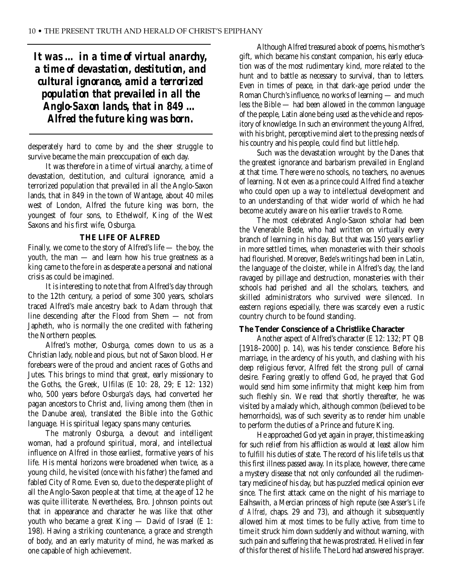*It was … in a time of virtual anarchy, a time of devastation, destitution, and cultural ignorance, amid a terrorized population that prevailed in all the Anglo-Saxon lands, that in 849 … Alfred the future king was born.*

desperately hard to come by and the sheer struggle to survive became the main preoccupation of each day.

It was therefore in a time of virtual anarchy, a time of devastation, destitution, and cultural ignorance, amid a terrorized population that prevailed in all the Anglo-Saxon lands, that in 849 in the town of Wantage, about 40 miles west of London, Alfred the future king was born, the youngest of four sons, to Ethelwolf, King of the West Saxons and his first wife, Osburga.

#### **THE LIFE OF ALFRED**

Finally, we come to the story of Alfred's life — the boy, the youth, the man — and learn how his true greatness as a king came to the fore in as desperate a personal and national crisis as could be imagined.

It is interesting to note that from Alfred's day through to the 12th century, a period of some 300 years, scholars traced Alfred's male ancestry back to Adam through that line descending after the Flood from Shem — not from Japheth, who is normally the one credited with fathering the Northern peoples.

Alfred's mother, Osburga, comes down to us as a Christian lady, noble and pious, but not of Saxon blood. Her forebears were of the proud and ancient races of Goths and Jutes. This brings to mind that great, early missionary to the Goths, the Greek, Ulfilas (E 10: 28, 29; E 12: 132) who, 500 years before Osburga's days, had converted her pagan ancestors to Christ and, living among them (then in the Danube area), translated the Bible into the Gothic language. His spiritual legacy spans many centuries.

The matronly Osburga, a devout and intelligent woman, had a profound spiritual, moral, and intellectual influence on Alfred in those earliest, formative years of his life. His mental horizons were broadened when twice, as a young child, he visited (once with his father) the famed and fabled City of Rome. Even so, due to the desperate plight of all the Anglo-Saxon people at that time, at the age of 12 he was quite illiterate. Nevertheless, Bro. Johnson points out that in appearance and character he was like that other youth who became a great King — David of Israel (E 1: 198). Having a striking countenance, a grace and strength of body, and an early maturity of mind, he was marked as one capable of high achievement.

Although Alfred treasured a book of poems, his mother's gift, which became his constant companion, his early education was of the most rudimentary kind, more related to the hunt and to battle as necessary to survival, than to letters. Even in times of peace, in that dark-age period under the Roman Church's influence, no works of learning — and much less the Bible — had been allowed in the common language of the people, Latin alone being used as the vehicle and repository of knowledge. In such an environment the young Alfred, with his bright, perceptive mind alert to the pressing needs of his country and his people, could find but little help.

Such was the devastation wrought by the Danes that the greatest ignorance and barbarism prevailed in England at that time. There were no schools, no teachers, no avenues of learning. Not even as a prince could Alfred find a teacher who could open up a way to intellectual development and to an understanding of that wider world of which he had become acutely aware on his earlier travels to Rome.

The most celebrated Anglo-Saxon scholar had been the Venerable Bede, who had written on virtually every branch of learning in his day. But that was 150 years earlier in more settled times, when monasteries with their schools had flourished. Moreover, Bede's writings had been in Latin, the language of the cloister, while in Alfred's day, the land ravaged by pillage and destruction, monasteries with their schools had perished and all the scholars, teachers, and skilled administrators who survived were silenced. In eastern regions especially, there was scarcely even a rustic country church to be found standing.

#### **The Tender Conscience of a Christlike Character**

Another aspect of Alfred's character (E 12: 132; PT QB [1918–2000] p. 14), was his tender conscience. Before his marriage, in the ardency of his youth, and clashing with his deep religious fervor, Alfred felt the strong pull of carnal desire. Fearing greatly to offend God, he prayed that God would send him some infirmity that might keep him from such fleshly sin. We read that shortly thereafter, he was visited by a malady which, although common (believed to be hemorrhoids), was of such severity as to render him unable to perform the duties of a Prince and future King.

He approached God yet again in prayer, this time asking for such relief from his affliction as would at least allow him to fulfill his duties of state. The record of his life tells us that this first illness passed away. In its place, however, there came a mystery disease that not only confounded all the rudimentary medicine of his day, but has puzzled medical opinion ever since. The first attack came on the night of his marriage to Ealhswith, a Mercian princess of high repute (see Asser's *Life of Alfred*, chaps. 29 and 73), and although it subsequently allowed him at most times to be fully active, from time to time it struck him down suddenly and without warning, with such pain and suffering that he was prostrated. He lived in fear of this for the rest of his life. The Lord had answered his prayer.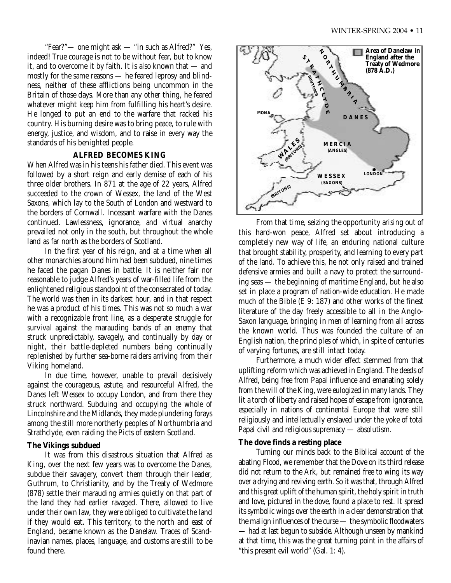"Fear?"— one might ask — "in such as Alfred?" Yes, indeed! True courage is not to be without fear, but to know it, and to overcome it by faith. It is also known that — and mostly for the same reasons — he feared leprosy and blindness, neither of these afflictions being uncommon in the Britain of those days. More than any other thing, he feared whatever might keep him from fulfilling his heart's desire. He longed to put an end to the warfare that racked his country. His burning desire was to bring peace, to rule with energy, justice, and wisdom, and to raise in every way the standards of his benighted people.

# **ALFRED BECOMES KING**

When Alfred was in his teens his father died. This event was followed by a short reign and early demise of each of his three older brothers. In 871 at the age of 22 years, Alfred succeeded to the crown of Wessex, the land of the West Saxons, which lay to the South of London and westward to the borders of Cornwall. Incessant warfare with the Danes continued. Lawlessness, ignorance, and virtual anarchy prevailed not only in the south, but throughout the whole land as far north as the borders of Scotland.

In the first year of his reign, and at a time when all other monarchies around him had been subdued, nine times he faced the pagan Danes in battle. It is neither fair nor reasonable to judge Alfred's years of war-filled life from the enlightened religious standpoint of the consecrated of today. The world was then in its darkest hour, and in that respect he was a product of his times. This was not so much a war with a recognizable front line, as a desperate struggle for survival against the marauding bands of an enemy that struck unpredictably, savagely, and continually by day or night, their battle-depleted numbers being continually replenished by further sea-borne raiders arriving from their Viking homeland.

In due time, however, unable to prevail decisively against the courageous, astute, and resourceful Alfred, the Danes left Wessex to occupy London, and from there they struck northward. Subduing and occupying the whole of Lincolnshire and the Midlands, they made plundering forays among the still more northerly peoples of Northumbria and Strathclyde, even raiding the Picts of eastern Scotland.

#### **The Vikings subdued**

It was from this disastrous situation that Alfred as King, over the next few years was to overcome the Danes, subdue their savagery, convert them through their leader, Guthrum, to Christianity, and by the Treaty of Wedmore (878) settle their marauding armies quietly on that part of the land they had earlier ravaged. There, allowed to live under their own law, they were obliged to cultivate the land if they would eat. This territory, to the north and east of England, became known as the Danelaw. Traces of Scandinavian names, places, language, and customs are still to be found there.



From that time, seizing the opportunity arising out of this hard-won peace, Alfred set about introducing a completely new way of life, an enduring national culture that brought stability, prosperity, and learning to every part of the land. To achieve this, he not only raised and trained defensive armies and built a navy to protect the surrounding seas — the beginning of maritime England, but he also set in place a program of nation-wide education. He made much of the Bible (E 9: 187) and other works of the finest literature of the day freely accessible to all in the Anglo-Saxon language, bringing in men of learning from all across the known world. Thus was founded the culture of an English nation, the principles of which, in spite of centuries of varying fortunes, are still intact today.

Furthermore, a much wider effect stemmed from that uplifting reform which was achieved in England. The deeds of Alfred, being free from Papal influence and emanating solely from the will of the King, were eulogized in many lands. They lit a torch of liberty and raised hopes of escape from ignorance, especially in nations of continental Europe that were still religiously and intellectually enslaved under the yoke of total Papal civil and religious supremacy — absolutism.

#### **The dove finds a resting place**

Turning our minds back to the Biblical account of the abating Flood, we remember that the Dove on its third release did not return to the Ark, but remained free to wing its way over a drying and reviving earth. So it was that, through Alfred and this great uplift of the human spirit, the holy spirit in truth and love, pictured in the dove, found a place to rest. It spread its symbolic wings over the earth in a clear demonstration that the malign influences of the curse — the symbolic floodwaters — had at last begun to subside. Although unseen by mankind at that time, this was the great turning point in the affairs of "this present evil world" (Gal. 1: 4).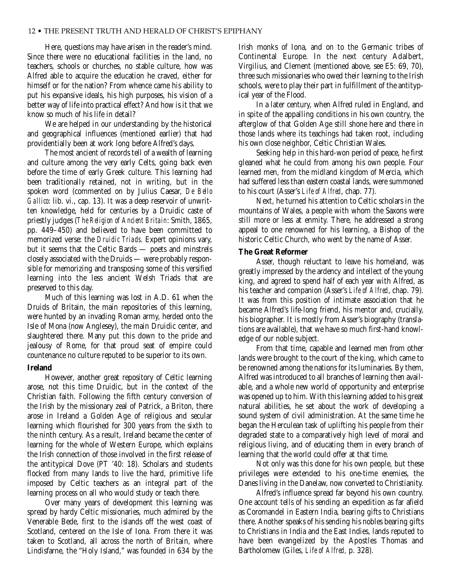Here, questions may have arisen in the reader's mind. Since there were no educational facilities in the land, no teachers, schools or churches, no stable culture, how was Alfred able to acquire the education he craved, either for himself or for the nation? From whence came his ability to put his expansive ideals, his high purposes, his vision of a better way of life into practical effect? And how is it that we know so much of his life in detail?

We are helped in our understanding by the historical and geographical influences (mentioned earlier) that had providentially been at work long before Alfred's days.

The most ancient of records tell of a wealth of learning and culture among the very early Celts, going back even before the time of early Greek culture. This learning had been traditionally retained, not in writing, but in the spoken word (commented on by Julius Caesar, *De Bello Gallico*: lib. vi., cap. 13). It was a deep reservoir of unwritten knowledge, held for centuries by a Druidic caste of priestly judges (*The Religion of Ancient Britain*: Smith, 1865, pp. 449–450) and believed to have been committed to memorized verse: the *Druidic Triads*. Expert opinions vary, but it seems that the Celtic Bards — poets and minstrels closely associated with the Druids — were probably responsible for memorizing and transposing some of this versified learning into the less ancient Welsh Triads that are preserved to this day.

Much of this learning was lost in A.D. 61 when the Druids of Britain, the main repositories of this learning, were hunted by an invading Roman army, herded onto the Isle of Mona (now Anglesey), the main Druidic center, and slaughtered there. Many put this down to the pride and jealousy of Rome, for that proud seat of empire could countenance no culture reputed to be superior to its own.

#### **Ireland**

However, another great repository of Celtic learning arose, not this time Druidic, but in the context of the Christian faith. Following the fifth century conversion of the Irish by the missionary zeal of Patrick, a Briton, there arose in Ireland a Golden Age of religious and secular learning which flourished for 300 years from the sixth to the ninth century. As a result, Ireland became the center of learning for the whole of Western Europe, which explains the Irish connection of those involved in the first release of the antitypical Dove (PT '40: 18). Scholars and students flocked from many lands to live the hard, primitive life imposed by Celtic teachers as an integral part of the learning process on all who would study or teach there.

Over many years of development this learning was spread by hardy Celtic missionaries, much admired by the Venerable Bede, first to the islands off the west coast of Scotland, centered on the Isle of Iona. From there it was taken to Scotland, all across the north of Britain, where Lindisfarne, the "Holy Island," was founded in 634 by the

Irish monks of Iona, and on to the Germanic tribes of Continental Europe. In the next century Adalbert, Virgilius, and Clement (mentioned above, see E5: 69, 70), three such missionaries who owed their learning to the Irish schools, were to play their part in fulfillment of the antitypical year of the Flood.

In a later century, when Alfred ruled in England, and in spite of the appalling conditions in his own country, the afterglow of that Golden Age still shone here and there in those lands where its teachings had taken root, including his own close neighbor, Celtic Christian Wales.

Seeking help in this hard-won period of peace, he first gleaned what he could from among his own people. Four learned men, from the midland kingdom of Mercia, which had suffered less than eastern coastal lands, were summoned to his court (Asser's *Life of Alfred*, chap. 77).

Next, he turned his attention to Celtic scholars in the mountains of Wales, a people with whom the Saxons were still more or less at enmity. There, he addressed a strong appeal to one renowned for his learning, a Bishop of the historic Celtic Church, who went by the name of Asser.

#### **The Great Reformer**

Asser, though reluctant to leave his homeland, was greatly impressed by the ardency and intellect of the young king, and agreed to spend half of each year with Alfred, as his teacher and companion (Asser's *Life of Alfred*, chap. 79). It was from this position of intimate association that he became Alfred's life-long friend, his mentor and, crucially, his biographer. It is mostly from Asser's biography (translations are available), that we have so much first-hand knowledge of our noble subject.

From that time, capable and learned men from other lands were brought to the court of the king, which came to be renowned among the nations for its luminaries. By them, Alfred was introduced to all branches of learning then available, and a whole new world of opportunity and enterprise was opened up to him. With this learning added to his great natural abilities, he set about the work of developing a sound system of civil administration. At the same time he began the Herculean task of uplifting his people from their degraded state to a comparatively high level of moral and religious living, and of educating them in every branch of learning that the world could offer at that time.

Not only was this done for his own people, but these privileges were extended to his one-time enemies, the Danes living in the Danelaw, now converted to Christianity.

Alfred's influence spread far beyond his own country. One account tells of his sending an expedition as far afield as Coromandel in Eastern India, bearing gifts to Christians there. Another speaks of his sending his nobles bearing gifts to Christians in India and the East Indies, lands reputed to have been evangelized by the Apostles Thomas and Bartholomew (Giles, *Life of Alfred,* p. 328).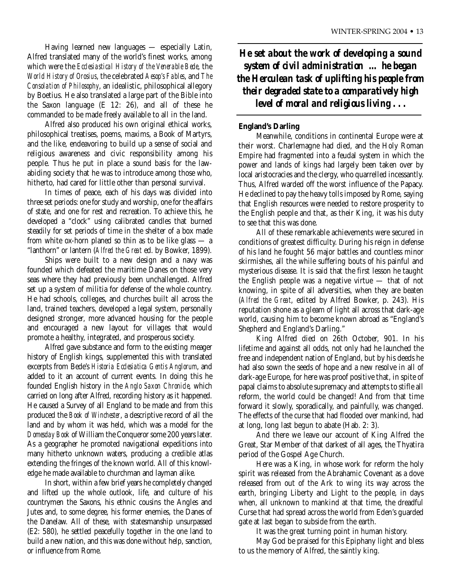Having learned new languages — especially Latin, Alfred translated many of the world's finest works, among which were the *Ecclesiastical History of the Venerable Bede*, the *World History of Orosius*, the celebrated *Aesop's Fables*, and *The Consolation of Philosophy*, an idealistic, philosophical allegory by Boetius. He also translated a large part of the Bible into the Saxon language (E 12: 26), and all of these he commanded to be made freely available to all in the land.

Alfred also produced his own original ethical works, philosophical treatises, poems, maxims, a Book of Martyrs, and the like, endeavoring to build up a sense of social and religious awareness and civic responsibility among his people. Thus he put in place a sound basis for the lawabiding society that he was to introduce among those who, hitherto, had cared for little other than personal survival.

In times of peace, each of his days was divided into three set periods: one for study and worship, one for the affairs of state, and one for rest and recreation. To achieve this, he developed a "clock" using calibrated candles that burned steadily for set periods of time in the shelter of a box made from white ox-horn planed so thin as to be like glass — a "lanthorn" or lantern (*Alfred the Great* ed. by Bowker, 1899).

Ships were built to a new design and a navy was founded which defeated the maritime Danes on those very seas where they had previously been unchallenged. Alfred set up a system of militia for defense of the whole country. He had schools, colleges, and churches built all across the land, trained teachers, developed a legal system, personally designed stronger, more advanced housing for the people and encouraged a new layout for villages that would promote a healthy, integrated, and prosperous society.

Alfred gave substance and form to the existing meager history of English kings, supplemented this with translated excerpts from Bede's *Historia Ecclesiatica Gentis Anglorum*, and added to it an account of current events. In doing this he founded English history in the *Anglo Saxon Chronicle*, which carried on long after Alfred, recording history as it happened. He caused a Survey of all England to be made and from this produced the *Book of Winchester*, a descriptive record of all the land and by whom it was held, which was a model for the *Domesday Book* of William the Conqueror some 200 years later. As a geographer he promoted navigational expeditions into many hitherto unknown waters, producing a credible atlas extending the fringes of the known world. All of this knowledge he made available to churchman and layman alike.

In short, within a few brief years he completely changed and lifted up the whole outlook, life, and culture of his countrymen the Saxons, his ethnic cousins the Angles and Jutes and, to some degree, his former enemies, the Danes of the Danelaw. All of these, with statesmanship unsurpassed (E2: 580), he settled peacefully together in the one land to build a new nation, and this was done without help, sanction, or influence from Rome.

*He set about the work of developing a sound system of civil administration … he began the Herculean task of uplifting his people from their degraded state to a comparatively high level of moral and religious living . . .* 

### **England's Darling**

Meanwhile, conditions in continental Europe were at their worst. Charlemagne had died, and the Holy Roman Empire had fragmented into a feudal system in which the power and lands of kings had largely been taken over by local aristocracies and the clergy, who quarrelled incessantly. Thus, Alfred warded off the worst influence of the Papacy. He declined to pay the heavy tolls imposed by Rome, saying that English resources were needed to restore prosperity to the English people and that, as their King, it was his duty to see that this was done.

All of these remarkable achievements were secured in conditions of greatest difficulty. During his reign in defense of his land he fought 56 major battles and countless minor skirmishes, all the while suffering bouts of his painful and mysterious disease. It is said that the first lesson he taught the English people was a negative virtue — that of not knowing, in spite of all adversities, when they are beaten (*Alfred the Great*, edited by Alfred Bowker, p. 243). His reputation shone as a gleam of light all across that dark-age world, causing him to become known abroad as "England's Shepherd and England's Darling."

King Alfred died on 26th October, 901. In his lifetime and against all odds, not only had he launched the free and independent nation of England, but by his deeds he had also sown the seeds of hope and a new resolve in all of dark-age Europe, for here was proof positive that, in spite of papal claims to absolute supremacy and attempts to stifle all reform, the world could be changed! And from that time forward it slowly, sporadically, and painfully, was changed. The effects of the curse that had flooded over mankind, had at long, long last begun to abate (Hab. 2: 3).

And there we leave our account of King Alfred the Great, Star Member of that darkest of all ages, the Thyatira period of the Gospel Age Church.

Here was a King, in whose work for reform the holy spirit was released from the Abrahamic Covenant as a dove released from out of the Ark to wing its way across the earth, bringing Liberty and Light to the people, in days when, all unknown to mankind at that time, the dreadful Curse that had spread across the world from Eden's guarded gate at last began to subside from the earth.

It was the great turning point in human history.

May God be praised for this Epiphany light and bless to us the memory of Alfred, the saintly king.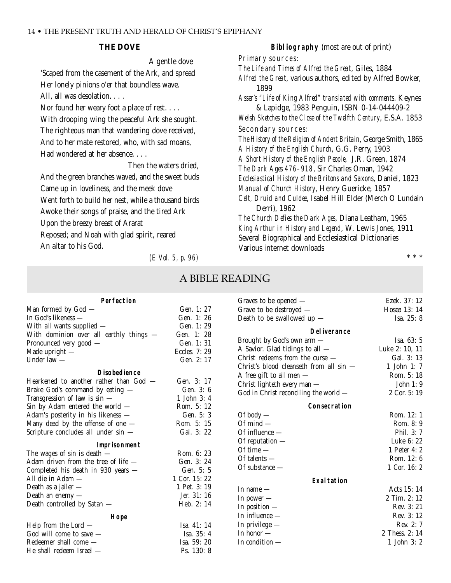#### **THE DOVE**

A gentle dove 'Scaped from the casement of the Ark, and spread Her lonely pinions o'er that boundless wave.

All, all was desolation. . . .

Nor found her weary foot a place of rest....

With drooping wing the peaceful Ark she sought. The righteous man that wandering dove received, And to her mate restored, who, with sad moans, Had wondered at her absence....

Then the waters dried, And the green branches waved, and the sweet buds Came up in loveliness, and the meek dove Went forth to build her nest, while a thousand birds Awoke their songs of praise, and the tired Ark Upon the breezy breast of Ararat Reposed; and Noah with glad spirit, reared An altar to his God.

*(E Vol. 5, p. 96)*

**Bibliography** (most are out of print) Primary sources: *The Life and Times of Alfred the Great*, Giles, 1884 *Alfred the Great*, various authors, edited by Alfred Bowker, 1899 *Asser's "Life of King Alfred" translated with comments*. Keynes & Lapidge, 1983 Penguin, ISBN 0-14-044409-2 *Welsh Sketches to the Close of the Twelfth Century*, E.S.A. 1853 Secondary sources: *The History of the Religion of Ancient Britain*, George Smith, 1865 *A History of the English Church*, G.G. Perry, 1903 *A Short History of the English People*, J.R. Green, 1874 *The Dark Ages 476–918*, Sir Charles Oman, 1942 *Ecclesiastical History of the Britons and Saxons*, Daniel, 1823 *Manual of Church History*, Henry Guericke, 1857 *Celt, Druid and Culdee*, Isabel Hill Elder (Merch O Lundain Derri), 1962 *The Church Defies the Dark Ages*, Diana Leatham, 1965 *King Arthur in History and Legend*, W. Lewis Jones, 1911 Several Biographical and Ecclesiastical Dictionaries Various internet downloads

\*\*\*

# A BIBLE READING

| Perfection<br>Graves to be opened $-$<br>Gen. 1: 27<br>Man formed by God -<br>Grave to be destroyed $-$<br>In God's likeness —<br>Gen. 1: 26<br>Death to be swallowed up -<br>Gen. 1: 29<br>With all wants supplied -<br><b>Deliverance</b><br>With dominion over all earthly things -<br>Gen. 1: 28<br>Isa. 63: 5<br>Brought by God's own arm -<br>Gen. 1: 31<br>Pronounced very good -<br>A Savior. Glad tidings to all -<br>Luke 2: 10, 11<br>Eccles. 7: 29<br>Made upright $-$<br>Christ redeems from the curse $-$<br>Gal. 3: 13<br>Gen. 2: 17<br>Under law $-$<br>Christ's blood cleanseth from all sin -<br>1 John 1: 7<br><b>Disobedience</b><br>Rom. 5: 18<br>A free gift to all men $-$<br>Hearkened to another rather than God —<br>Gen. 3: 17<br>John 1: 9<br>Christ lighteth every man - |                                 |           |                                       |                |
|-------------------------------------------------------------------------------------------------------------------------------------------------------------------------------------------------------------------------------------------------------------------------------------------------------------------------------------------------------------------------------------------------------------------------------------------------------------------------------------------------------------------------------------------------------------------------------------------------------------------------------------------------------------------------------------------------------------------------------------------------------------------------------------------------------|---------------------------------|-----------|---------------------------------------|----------------|
|                                                                                                                                                                                                                                                                                                                                                                                                                                                                                                                                                                                                                                                                                                                                                                                                       |                                 |           |                                       | Ezek. 37: 12   |
|                                                                                                                                                                                                                                                                                                                                                                                                                                                                                                                                                                                                                                                                                                                                                                                                       |                                 |           |                                       | Hosea 13: 14   |
|                                                                                                                                                                                                                                                                                                                                                                                                                                                                                                                                                                                                                                                                                                                                                                                                       |                                 |           |                                       | Isa. 25: 8     |
|                                                                                                                                                                                                                                                                                                                                                                                                                                                                                                                                                                                                                                                                                                                                                                                                       |                                 |           |                                       |                |
|                                                                                                                                                                                                                                                                                                                                                                                                                                                                                                                                                                                                                                                                                                                                                                                                       |                                 |           |                                       |                |
|                                                                                                                                                                                                                                                                                                                                                                                                                                                                                                                                                                                                                                                                                                                                                                                                       |                                 |           |                                       |                |
|                                                                                                                                                                                                                                                                                                                                                                                                                                                                                                                                                                                                                                                                                                                                                                                                       |                                 |           |                                       |                |
|                                                                                                                                                                                                                                                                                                                                                                                                                                                                                                                                                                                                                                                                                                                                                                                                       |                                 |           |                                       |                |
|                                                                                                                                                                                                                                                                                                                                                                                                                                                                                                                                                                                                                                                                                                                                                                                                       |                                 |           |                                       |                |
|                                                                                                                                                                                                                                                                                                                                                                                                                                                                                                                                                                                                                                                                                                                                                                                                       |                                 |           |                                       |                |
|                                                                                                                                                                                                                                                                                                                                                                                                                                                                                                                                                                                                                                                                                                                                                                                                       | Brake God's command by eating - | Gen. 3: 6 | God in Christ reconciling the world - | 2 Cor. 5:19    |
| 1 John 3: 4<br>Transgression of law is $sin$ -                                                                                                                                                                                                                                                                                                                                                                                                                                                                                                                                                                                                                                                                                                                                                        |                                 |           |                                       |                |
| Consecration<br>Sin by Adam entered the world $-$<br>Rom. 5: 12                                                                                                                                                                                                                                                                                                                                                                                                                                                                                                                                                                                                                                                                                                                                       |                                 |           |                                       |                |
| Of body $-$<br>Gen. 5: 3<br>Adam's posterity in his likeness —                                                                                                                                                                                                                                                                                                                                                                                                                                                                                                                                                                                                                                                                                                                                        |                                 |           |                                       | Rom. 12: 1     |
| Many dead by the offense of one -<br>Of $mind$ —<br>Rom. 5: 15                                                                                                                                                                                                                                                                                                                                                                                                                                                                                                                                                                                                                                                                                                                                        |                                 |           |                                       | Rom. 8: 9      |
| Gal. 3: 22<br>Scripture concludes all under sin -<br>Of influence -                                                                                                                                                                                                                                                                                                                                                                                                                                                                                                                                                                                                                                                                                                                                   |                                 |           |                                       | Phil. 3: 7     |
| Of reputation $-$<br>Imprisonment                                                                                                                                                                                                                                                                                                                                                                                                                                                                                                                                                                                                                                                                                                                                                                     |                                 |           |                                       | Luke 6: 22     |
| Of time $-$<br>The wages of sin is death $-$<br>Rom. 6: 23                                                                                                                                                                                                                                                                                                                                                                                                                                                                                                                                                                                                                                                                                                                                            |                                 |           |                                       | 1 Peter 4: 2   |
| Of talents $-$<br>Adam driven from the tree of life -<br>Gen. 3: 24                                                                                                                                                                                                                                                                                                                                                                                                                                                                                                                                                                                                                                                                                                                                   |                                 |           |                                       | Rom. 12:6      |
| Of substance —<br>Completed his death in 930 years -<br>Gen. 5: 5                                                                                                                                                                                                                                                                                                                                                                                                                                                                                                                                                                                                                                                                                                                                     |                                 |           |                                       | 1 Cor. 16: 2   |
| 1 Cor. 15:22<br>All die in Adam —<br>Exaltation                                                                                                                                                                                                                                                                                                                                                                                                                                                                                                                                                                                                                                                                                                                                                       |                                 |           |                                       |                |
| 1 Pet. 3: 19<br>Death as a jailer $-$<br>In name $-$                                                                                                                                                                                                                                                                                                                                                                                                                                                                                                                                                                                                                                                                                                                                                  |                                 |           |                                       | Acts 15: 14    |
| Jer. 31: 16<br>Death an enemy $-$<br>In power $-$                                                                                                                                                                                                                                                                                                                                                                                                                                                                                                                                                                                                                                                                                                                                                     |                                 |           |                                       | 2 Tim. 2: 12   |
| Heb. 2: 14<br>Death controlled by Satan -<br>In position $-$                                                                                                                                                                                                                                                                                                                                                                                                                                                                                                                                                                                                                                                                                                                                          |                                 |           |                                       | Rev. 3: 21     |
| In influence $-$<br>Hope                                                                                                                                                                                                                                                                                                                                                                                                                                                                                                                                                                                                                                                                                                                                                                              |                                 |           |                                       | Rev. 3: 12     |
| In privilege $-$<br>Help from the Lord $-$<br>Isa. 41: 14                                                                                                                                                                                                                                                                                                                                                                                                                                                                                                                                                                                                                                                                                                                                             |                                 |           |                                       | Rev. 2: 7      |
| In honor $-$<br>God will come to save -<br>Isa. 35: 4                                                                                                                                                                                                                                                                                                                                                                                                                                                                                                                                                                                                                                                                                                                                                 |                                 |           |                                       | 2 Thess. 2: 14 |
| In condition $-$<br>Redeemer shall come -<br>Isa. 59: 20                                                                                                                                                                                                                                                                                                                                                                                                                                                                                                                                                                                                                                                                                                                                              |                                 |           |                                       | 1 John 3: 2    |
| He shall redeem Israel -<br>Ps. 130: 8                                                                                                                                                                                                                                                                                                                                                                                                                                                                                                                                                                                                                                                                                                                                                                |                                 |           |                                       |                |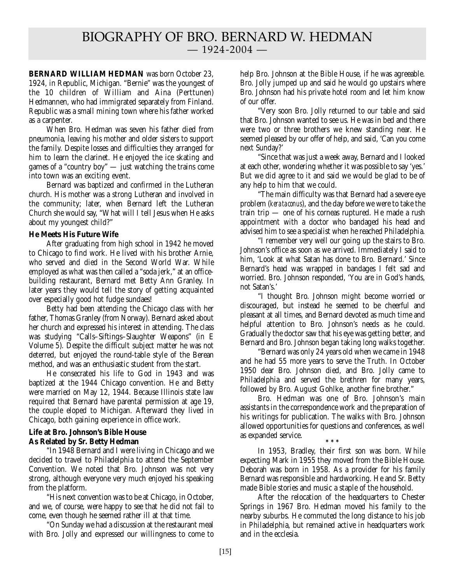**BERNARD WILLIAM HEDMAN** was born October 23, 1924, in Republic, Michigan. "Bernie" was the youngest of the 10 children of William and Aina (Perttunen) Hedmannen, who had immigrated separately from Finland. Republic was a small mining town where his father worked as a carpenter.

When Bro. Hedman was seven his father died from pneumonia, leaving his mother and older sisters to support the family. Despite losses and difficulties they arranged for him to learn the clarinet. He enjoyed the ice skating and games of a "country boy" — just watching the trains come into town was an exciting event.

Bernard was baptized and confirmed in the Lutheran church. His mother was a strong Lutheran and involved in the community; later, when Bernard left the Lutheran Church she would say, "What will I tell Jesus when He asks about my youngest child?"

#### **He Meets His Future Wife**

After graduating from high school in 1942 he moved to Chicago to find work. He lived with his brother Arnie, who served and died in the Second World War. While employed as what was then called a "soda jerk," at an officebuilding restaurant, Bernard met Betty Ann Granley. In later years they would tell the story of getting acquainted over especially good hot fudge sundaes!

Betty had been attending the Chicago class with her father, Thomas Granley (from Norway). Bernard asked about her church and expressed his interest in attending. The class was studying "Calls–Siftings–Slaughter Weapons" (in E Volume 5). Despite the difficult subject matter he was not deterred, but enjoyed the round-table style of the Berean method, and was an enthusiastic student from the start.

He consecrated his life to God in 1943 and was baptized at the 1944 Chicago convention. He and Betty were married on May 12, 1944. Because Illinois state law required that Bernard have parental permission at age 19, the couple eloped to Michigan. Afterward they lived in Chicago, both gaining experience in office work.

#### **Life at Bro. Johnson's Bible House As Related by Sr. Betty Hedman**

"In 1948 Bernard and I were living in Chicago and we decided to travel to Philadelphia to attend the September Convention. We noted that Bro. Johnson was not very strong, although everyone very much enjoyed his speaking from the platform.

"His next convention was to be at Chicago, in October, and we, of course, were happy to see that he did not fail to come, even though he seemed rather ill at that time.

"On Sunday we had a discussion at the restaurant meal with Bro. Jolly and expressed our willingness to come to help Bro. Johnson at the Bible House, if he was agreeable. Bro. Jolly jumped up and said he would go upstairs where Bro. Johnson had his private hotel room and let him know of our offer.

"Very soon Bro. Jolly returned to our table and said that Bro. Johnson wanted to see us. He was in bed and there were two or three brothers we knew standing near. He seemed pleased by our offer of help, and said, 'Can you come next Sunday?'

"Since that was just a week away, Bernard and I looked at each other, wondering whether it was possible to say 'yes.' But we did agree to it and said we would be glad to be of any help to him that we could.

"The main difficulty was that Bernard had a severe eye problem (*kerataconus*), and the day before we were to take the train trip — one of his corneas ruptured. He made a rush appointment with a doctor who bandaged his head and advised him to see a specialist when he reached Philadelphia.

"I remember very well our going up the stairs to Bro. Johnson's office as soon as we arrived. Immediately I said to him, 'Look at what Satan has done to Bro. Bernard.' Since Bernard's head was wrapped in bandages I felt sad and worried. Bro. Johnson responded, 'You are in God's hands, not Satan's.'

"I thought Bro. Johnson might become worried or discouraged, but instead he seemed to be cheerful and pleasant at all times, and Bernard devoted as much time and helpful attention to Bro. Johnson's needs as he could. Gradually the doctor saw that his eye was getting better, and Bernard and Bro. Johnson began taking long walks together.

"Bernard was only 24 years old when we came in 1948 and he had 55 more years to serve the Truth. In October 1950 dear Bro. Johnson died, and Bro. Jolly came to Philadelphia and served the brethren for many years, followed by Bro. August Gohlke, another fine brother."

Bro. Hedman was one of Bro. Johnson's main assistants in the correspondence work and the preparation of his writings for publication. The walks with Bro. Johnson allowed opportunities for questions and conferences, as well as expanded service. **\*\*\***

In 1953, Bradley, their first son was born. While expecting Mark in 1955 they moved from the Bible House. Deborah was born in 1958. As a provider for his family Bernard was responsible and hardworking. He and Sr. Betty made Bible stories and music a staple of the household.

After the relocation of the headquarters to Chester Springs in 1967 Bro. Hedman moved his family to the nearby suburbs. He commuted the long distance to his job in Philadelphia, but remained active in headquarters work and in the ecclesia.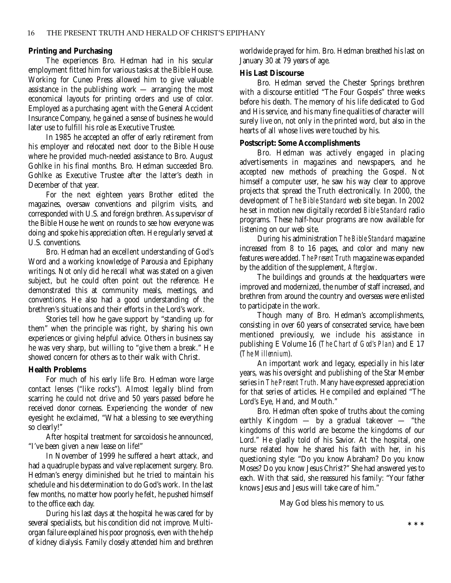#### **Printing and Purchasing**

The experiences Bro. Hedman had in his secular employment fitted him for various tasks at the Bible House. Working for Cuneo Press allowed him to give valuable assistance in the publishing work — arranging the most economical layouts for printing orders and use of color. Employed as a purchasing agent with the General Accident Insurance Company, he gained a sense of business he would later use to fulfill his role as Executive Trustee.

In 1985 he accepted an offer of early retirement from his employer and relocated next door to the Bible House where he provided much-needed assistance to Bro. August Gohlke in his final months. Bro. Hedman succeeded Bro. Gohlke as Executive Trustee after the latter's death in December of that year.

For the next eighteen years Brother edited the magazines, oversaw conventions and pilgrim visits, and corresponded with U.S. and foreign brethren. As supervisor of the Bible House he went on rounds to see how everyone was doing and spoke his appreciation often. He regularly served at U.S. conventions.

Bro. Hedman had an excellent understanding of God's Word and a working knowledge of Parousia and Epiphany writings. Not only did he recall what was stated on a given subject, but he could often point out the reference. He demonstrated this at community meals, meetings, and conventions. He also had a good understanding of the brethren's situations and their efforts in the Lord's work.

Stories tell how he gave support by "standing up for them" when the principle was right, by sharing his own experiences or giving helpful advice. Others in business say he was very sharp, but willing to "give them a break." He showed concern for others as to their walk with Christ.

#### **Health Problems**

For much of his early life Bro. Hedman wore large contact lenses ("like rocks"). Almost legally blind from scarring he could not drive and 50 years passed before he received donor corneas. Experiencing the wonder of new eyesight he exclaimed, "What a blessing to see everything so clearly!"

After hospital treatment for sarcoidosis he announced, "I've been given a new lease on life!"

In November of 1999 he suffered a heart attack, and had a quadruple bypass and valve replacement surgery. Bro. Hedman's energy diminished but he tried to maintain his schedule and his determination to do God's work. In the last few months, no matter how poorly he felt, he pushed himself to the office each day.

During his last days at the hospital he was cared for by several specialists, but his condition did not improve. Multiorgan failure explained his poor prognosis, even with the help of kidney dialysis. Family closely attended him and brethren

worldwide prayed for him. Bro. Hedman breathed his last on January 30 at 79 years of age.

#### **His Last Discourse**

Bro. Hedman served the Chester Springs brethren with a discourse entitled "The Four Gospels" three weeks before his death. The memory of his life dedicated to God and His service, and his many fine qualities of character will surely live on, not only in the printed word, but also in the hearts of all whose lives were touched by his.

#### **Postscript: Some Accomplishments**

Bro. Hedman was actively engaged in placing advertisements in magazines and newspapers, and he accepted new methods of preaching the Gospel. Not himself a computer user, he saw his way clear to approve projects that spread the Truth electronically. In 2000, the development of *The Bible Standard* web site began. In 2002 he set in motion new digitally recorded *Bible Standard* radio programs. These half-hour programs are now available for listening on our web site.

During his administration *The Bible Standard* magazine increased from 8 to 16 pages, and color and many new features were added. *The Present Truth* magazine was expanded by the addition of the supplement, *Afterglow*.

The buildings and grounds at the headquarters were improved and modernized, the number of staff increased, and brethren from around the country and overseas were enlisted to participate in the work.

Though many of Bro. Hedman's accomplishments, consisting in over 60 years of consecrated service, have been mentioned previously, we include his assistance in publishing E Volume 16 (*The Chart of God's Plan*) and E 17 (*The Millennium*).

An important work and legacy, especially in his later years, was his oversight and publishing of the Star Member series in *The Present Truth*. Many have expressed appreciation for that series of articles. He compiled and explained "The Lord's Eye, Hand, and Mouth."

Bro. Hedman often spoke of truths about the coming earthly Kingdom — by a gradual takeover — "the kingdoms of this world are become the kingdoms of our Lord." He gladly told of his Savior. At the hospital, one nurse related how he shared his faith with her, in his questioning style: "Do you know Abraham? Do you know Moses? Do you know Jesus Christ?" She had answered yes to each. With that said, she reassured his family: "Your father knows Jesus and Jesus will take care of him."

May God bless his memory to us.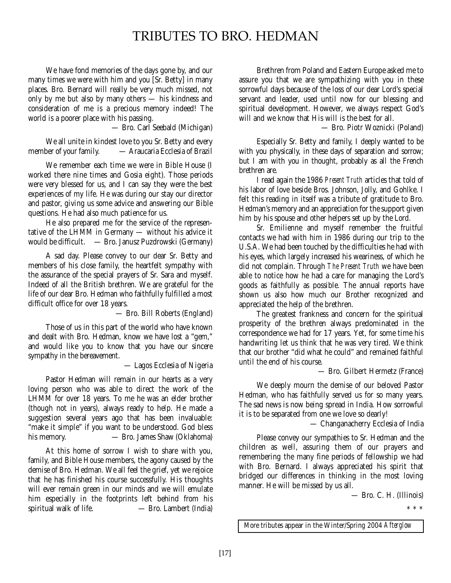# TRIBUTES TO BRO. HEDMAN

We have fond memories of the days gone by, and our many times we were with him and you [Sr. Betty] in many places. Bro. Bernard will really be very much missed, not only by me but also by many others — his kindness and consideration of me is a precious memory indeed! The world is a poorer place with his passing.

— Bro. Carl Seebald (Michigan)

We all unite in kindest love to you Sr. Betty and every member of your family. — Araucaria Ecclesia of Brazil

We remember each time we were in Bible House (I worked there nine times and Gosia eight). Those periods were very blessed for us, and I can say they were the best experiences of my life. He was during our stay our director and pastor, giving us some advice and answering our Bible questions. He had also much patience for us.

He also prepared me for the service of the representative of the LHMM in Germany — without his advice it would be difficult. — Bro. Janusz Puzdrowski (Germany)

A sad day. Please convey to our dear Sr. Betty and members of his close family, the heartfelt sympathy with the assurance of the special prayers of Sr. Sara and myself. Indeed of all the British brethren. We are grateful for the life of our dear Bro. Hedman who faithfully fulfilled a most difficult office for over 18 years.

— Bro. Bill Roberts (England)

Those of us in this part of the world who have known and dealt with Bro. Hedman, know we have lost a "gem," and would like you to know that you have our sincere sympathy in the bereavement.

— Lagos Ecclesia of Nigeria

Pastor Hedman will remain in our hearts as a very loving person who was able to direct the work of the LHMM for over 18 years. To me he was an elder brother (though not in years), always ready to help. He made a suggestion several years ago that has been invaluable: "make it simple" if you want to be understood. God bless his memory. — Bro. James Shaw (Oklahoma)

At this home of sorrow I wish to share with you, family, and Bible House members, the agony caused by the demise of Bro. Hedman. We all feel the grief, yet we rejoice that he has finished his course successfully. His thoughts will ever remain green in our minds and we will emulate him especially in the footprints left behind from his spiritual walk of life. — Bro. Lambert (India)

Brethren from Poland and Eastern Europe asked me to assure you that we are sympathizing with you in these sorrowful days because of the loss of our dear Lord's special servant and leader, used until now for our blessing and spiritual development. However, we always respect God's will and we know that His will is the best for all.

— Bro. Piotr Woznicki (Poland)

Especially Sr. Betty and family, I deeply wanted to be with you physically, in these days of separation and sorrow; but I am with you in thought, probably as all the French brethren are.

I read again the 1986 *Present Truth* articles that told of his labor of love beside Bros. Johnson, Jolly, and Gohlke. I felt this reading in itself was a tribute of gratitude to Bro. Hedman's memory and an appreciation for the support given him by his spouse and other helpers set up by the Lord.

Sr. Emilienne and myself remember the fruitful contacts we had with him in 1986 during our trip to the U.S.A. We had been touched by the difficulties he had with his eyes, which largely increased his weariness, of which he did not complain. Through *The Present Truth* we have been able to notice how he had a care for managing the Lord's goods as faithfully as possible. The annual reports have shown us also how much our Brother recognized and appreciated the help of the brethren.

The greatest frankness and concern for the spiritual prosperity of the brethren always predominated in the correspondence we had for 17 years. Yet, for some time his handwriting let us think that he was very tired. We think that our brother "did what he could" and remained faithful until the end of his course.

— Bro. Gilbert Hermetz (France)

We deeply mourn the demise of our beloved Pastor Hedman, who has faithfully served us for so many years. The sad news is now being spread in India. How sorrowful it is to be separated from one we love so dearly!

— Changanacherry Ecclesia of India

Please convey our sympathies to Sr. Hedman and the children as well, assuring them of our prayers and remembering the many fine periods of fellowship we had with Bro. Bernard. I always appreciated his spirit that bridged our differences in thinking in the most loving manner. He will be missed by us all.

— Bro. C. H. (Illinois)

\*\*\*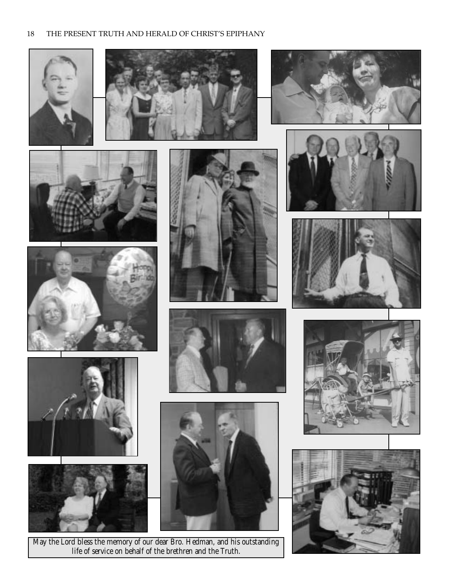### 18 THE PRESENT TRUTH AND HERALD OF CHRIST'S EPIPHANY





















May the Lord bless the memory of our dear Bro. Hedman, and his outstanding life of service on behalf of the brethren and the Truth.







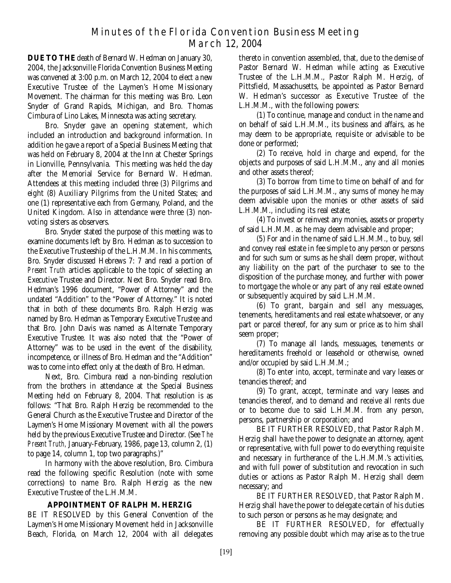# Minutes of the Florida Convention Business Meeting March 12, 2004

**DUE TO THE** death of Bernard W. Hedman on January 30, 2004, the Jacksonville Florida Convention Business Meeting was convened at 3:00 p.m. on March 12, 2004 to elect a new Executive Trustee of the Laymen's Home Missionary Movement. The chairman for this meeting was Bro. Leon Snyder of Grand Rapids, Michigan, and Bro. Thomas Cimbura of Lino Lakes, Minnesota was acting secretary.

Bro. Snyder gave an opening statement, which included an introduction and background information. In addition he gave a report of a Special Business Meeting that was held on February 8, 2004 at the Inn at Chester Springs in Lionville, Pennsylvania. This meeting was held the day after the Memorial Service for Bernard W. Hedman. Attendees at this meeting included three (3) Pilgrims and eight (8) Auxiliary Pilgrims from the United States; and one (1) representative each from Germany, Poland, and the United Kingdom. Also in attendance were three (3) nonvoting sisters as observers.

Bro. Snyder stated the purpose of this meeting was to examine documents left by Bro. Hedman as to succession to the Executive Trusteeship of the L.H.M.M. In his comments, Bro. Snyder discussed Hebrews 7: 7 and read a portion of *Present Truth* articles applicable to the topic of selecting an Executive Trustee and Director. Next Bro. Snyder read Bro. Hedman's 1996 document, "Power of Attorney" and the undated "Addition" to the "Power of Attorney." It is noted that in both of these documents Bro. Ralph Herzig was named by Bro. Hedman as Temporary Executive Trustee and that Bro. John Davis was named as Alternate Temporary Executive Trustee. It was also noted that the "Power of Attorney" was to be used in the event of the disability, incompetence, or illness of Bro. Hedman and the "Addition" was to come into effect only at the death of Bro. Hedman.

Next, Bro. Cimbura read a non-binding resolution from the brothers in attendance at the Special Business Meeting held on February 8, 2004. That resolution is as follows: "That Bro. Ralph Herzig be recommended to the General Church as the Executive Trustee and Director of the Laymen's Home Missionary Movement with all the powers held by the previous Executive Trustee and Director. (See *The Present Truth,* January-February, 1986, page 13, column 2, (1) to page 14, column 1, top two paragraphs.)"

In harmony with the above resolution, Bro. Cimbura read the following specific Resolution (note with some corrections) to name Bro. Ralph Herzig as the new Executive Trustee of the L.H.M.M.

# **APPOINTMENT OF RALPH M. HERZIG**

BE IT RESOLVED by this General Convention of the Laymen's Home Missionary Movement held in Jacksonville Beach, Florida, on March 12, 2004 with all delegates

thereto in convention assembled, that, due to the demise of Pastor Bernard W. Hedman while acting as Executive Trustee of the L.H.M.M., Pastor Ralph M. Herzig, of Pittsfield, Massachusetts, be appointed as Pastor Bernard W. Hedman's successor as Executive Trustee of the L.H.M.M., with the following powers:

(1) To continue, manage and conduct in the name and on behalf of said L.H.M.M., its business and affairs, as he may deem to be appropriate, requisite or advisable to be done or performed;

(2) To receive, hold in charge and expend, for the objects and purposes of said L.H.M.M., any and all monies and other assets thereof;

(3) To borrow from time to time on behalf of and for the purposes of said L.H.M.M., any sums of money he may deem advisable upon the monies or other assets of said L.H.M.M., including its real estate;

(4) To invest or reinvest any monies, assets or property of said L.H.M.M. as he may deem advisable and proper;

(5) For and in the name of said L.H.M.M., to buy, sell and convey real estate in fee simple to any person or persons and for such sum or sums as he shall deem proper, without any liability on the part of the purchaser to see to the disposition of the purchase money, and further with power to mortgage the whole or any part of any real estate owned or subsequently acquired by said L.H.M.M.

(6) To grant, bargain and sell any messuages, tenements, hereditaments and real estate whatsoever, or any part or parcel thereof, for any sum or price as to him shall seem proper;

(7) To manage all lands, messuages, tenements or hereditaments freehold or leasehold or otherwise, owned and/or occupied by said L.H.M.M.;

(8) To enter into, accept, terminate and vary leases or tenancies thereof; and

(9) To grant, accept, terminate and vary leases and tenancies thereof, and to demand and receive all rents due or to become due to said L.H.M.M. from any person, persons, partnership or corporation; and

BE IT FURTHER RESOLVED, that Pastor Ralph M. Herzig shall have the power to designate an attorney, agent or representative, with full power to do everything requisite and necessary in furtherance of the L.H.M.M.'s activities, and with full power of substitution and revocation in such duties or actions as Pastor Ralph M. Herzig shall deem necessary; and

BE IT FURTHER RESOLVED, that Pastor Ralph M. Herzig shall have the power to delegate certain of his duties to such person or persons as he may designate; and

BE IT FURTHER RESOLVED, for effectually removing any possible doubt which may arise as to the true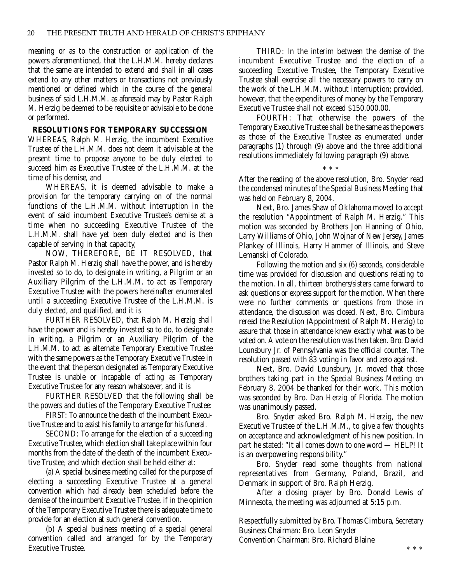meaning or as to the construction or application of the powers aforementioned, that the L.H.M.M. hereby declares that the same are intended to extend and shall in all cases extend to any other matters or transactions not previously mentioned or defined which in the course of the general business of said L.H.M.M. as aforesaid may by Pastor Ralph M. Herzig be deemed to be requisite or advisable to be done or performed.

#### **RESOLUTIONS FOR TEMPORARY SUCCESSION**

WHEREAS, Ralph M. Herzig, the incumbent Executive Trustee of the L.H.M.M. does not deem it advisable at the present time to propose anyone to be duly elected to succeed him as Executive Trustee of the L.H.M.M. at the time of his demise, and

WHEREAS, it is deemed advisable to make a provision for the temporary carrying on of the normal functions of the L.H.M.M. without interruption in the event of said incumbent Executive Trustee's demise at a time when no succeeding Executive Trustee of the L.H.M.M. shall have yet been duly elected and is then capable of serving in that capacity,

NOW, THEREFORE, BE IT RESOLVED, that Pastor Ralph M. Herzig shall have the power, and is hereby invested so to do, to designate in writing, a Pilgrim or an Auxiliary Pilgrim of the L.H.M.M. to act as Temporary Executive Trustee with the powers hereinafter enumerated until a succeeding Executive Trustee of the L.H.M.M. is duly elected, and qualified, and it is

FURTHER RESOLVED, that Ralph M. Herzig shall have the power and is hereby invested so to do, to designate in writing, a Pilgrim or an Auxiliary Pilgrim of the L.H.M.M. to act as alternate Temporary Executive Trustee with the same powers as the Temporary Executive Trustee in the event that the person designated as Temporary Executive Trustee is unable or incapable of acting as Temporary Executive Trustee for any reason whatsoever, and it is

FURTHER RESOLVED that the following shall be the powers and duties of the Temporary Executive Trustee:

FIRST: To announce the death of the incumbent Executive Trustee and to assist his family to arrange for his funeral.

SECOND: To arrange for the election of a succeeding Executive Trustee, which election shall take place within four months from the date of the death of the incumbent Executive Trustee, and which election shall be held either at:

(a) A special business meeting called for the purpose of electing a succeeding Executive Trustee at a general convention which had already been scheduled before the demise of the incumbent Executive Trustee, if in the opinion of the Temporary Executive Trustee there is adequate time to provide for an election at such general convention.

(b) A special business meeting of a special general convention called and arranged for by the Temporary Executive Trustee.

THIRD: In the interim between the demise of the incumbent Executive Trustee and the election of a succeeding Executive Trustee, the Temporary Executive Trustee shall exercise all the necessary powers to carry on the work of the L.H.M.M. without interruption; provided, however, that the expenditures of money by the Temporary Executive Trustee shall not exceed \$150,000.00.

FOURTH: That otherwise the powers of the Temporary Executive Trustee shall be the same as the powers as those of the Executive Trustee as enumerated under paragraphs (1) through (9) above and the three additional resolutions immediately following paragraph (9) above.

\*\*\*

After the reading of the above resolution, Bro. Snyder read the condensed minutes of the Special Business Meeting that was held on February 8, 2004.

Next, Bro. James Shaw of Oklahoma moved to accept the resolution "Appointment of Ralph M. Herzig." This motion was seconded by Brothers Jon Hanning of Ohio, Larry Williams of Ohio, John Wojnar of New Jersey, James Plankey of Illinois, Harry Hammer of Illinois, and Steve Lemanski of Colorado.

Following the motion and six (6) seconds, considerable time was provided for discussion and questions relating to the motion. In all, thirteen brothers/sisters came forward to ask questions or express support for the motion. When there were no further comments or questions from those in attendance, the discussion was closed. Next, Bro. Cimbura reread the Resolution (Appointment of Ralph M. Herzig) to assure that those in attendance knew exactly what was to be voted on. A vote on the resolution was then taken. Bro. David Lounsbury Jr. of Pennsylvania was the official counter. The resolution passed with 83 voting in favor and zero against.

Next, Bro. David Lounsbury, Jr. moved that those brothers taking part in the Special Business Meeting on February 8, 2004 be thanked for their work. This motion was seconded by Bro. Dan Herzig of Florida. The motion was unanimously passed.

Bro. Snyder asked Bro. Ralph M. Herzig, the new Executive Trustee of the L.H.M.M., to give a few thoughts on acceptance and acknowledgment of his new position. In part he stated: "It all comes down to one word — HELP! It is an overpowering responsibility."

Bro. Snyder read some thoughts from national representatives from Germany, Poland, Brazil, and Denmark in support of Bro. Ralph Herzig.

After a closing prayer by Bro. Donald Lewis of Minnesota, the meeting was adjourned at 5:15 p.m.

Respectfully submitted by Bro. Thomas Cimbura, Secretary Business Chairman: Bro. Leon Snyder Convention Chairman: Bro. Richard Blaine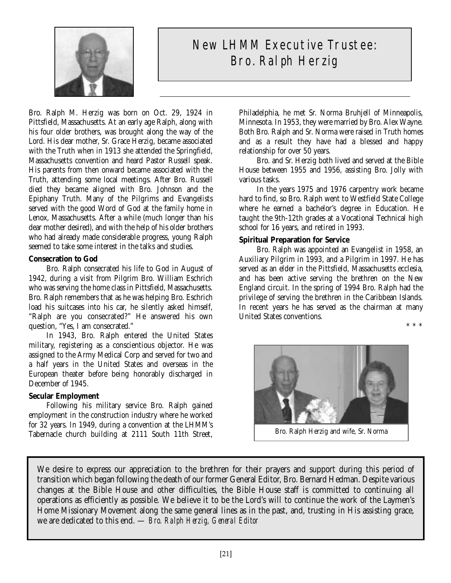

# New LHMM Executive Trustee: Bro. Ralph Herzig

Bro. Ralph M. Herzig was born on Oct. 29, 1924 in Pittsfield, Massachusetts. At an early age Ralph, along with his four older brothers, was brought along the way of the Lord. His dear mother, Sr. Grace Herzig, became associated with the Truth when in 1913 she attended the Springfield, Massachusetts convention and heard Pastor Russell speak. His parents from then onward became associated with the Truth, attending some local meetings. After Bro. Russell died they became aligned with Bro. Johnson and the Epiphany Truth. Many of the Pilgrims and Evangelists served with the good Word of God at the family home in Lenox, Massachusetts. After a while (much longer than his dear mother desired), and with the help of his older brothers who had already made considerable progress, young Ralph seemed to take some interest in the talks and studies.

# **Consecration to God**

Bro. Ralph consecrated his life to God in August of 1942, during a visit from Pilgrim Bro. William Eschrich who was serving the home class in Pittsfield, Massachusetts. Bro. Ralph remembers that as he was helping Bro. Eschrich load his suitcases into his car, he silently asked himself, "Ralph are you consecrated?" He answered his own question, "Yes, I am consecrated."

In 1943, Bro. Ralph entered the United States military, registering as a conscientious objector. He was assigned to the Army Medical Corp and served for two and a half years in the United States and overseas in the European theater before being honorably discharged in December of 1945.

# **Secular Employment**

Following his military service Bro. Ralph gained employment in the construction industry where he worked for 32 years. In 1949, during a convention at the LHMM's Tabernacle church building at 2111 South 11th Street,

Philadelphia, he met Sr. Norma Bruhjell of Minneapolis, Minnesota. In 1953, they were married by Bro. Alex Wayne. Both Bro. Ralph and Sr. Norma were raised in Truth homes and as a result they have had a blessed and happy relationship for over 50 years.

Bro. and Sr. Herzig both lived and served at the Bible House between 1955 and 1956, assisting Bro. Jolly with various tasks.

In the years 1975 and 1976 carpentry work became hard to find, so Bro. Ralph went to Westfield State College where he earned a bachelor's degree in Education. He taught the 9th-12th grades at a Vocational Technical high school for 16 years, and retired in 1993.

#### **Spiritual Preparation for Service**

Bro. Ralph was appointed an Evangelist in 1958, an Auxiliary Pilgrim in 1993, and a Pilgrim in 1997. He has served as an elder in the Pittsfield, Massachusetts ecclesia, and has been active serving the brethren on the New England circuit. In the spring of 1994 Bro. Ralph had the privilege of serving the brethren in the Caribbean Islands. In recent years he has served as the chairman at many United States conventions.

\*\*\*



Bro. Ralph Herzig and wife, Sr. Norma

We desire to express our appreciation to the brethren for their prayers and support during this period of transition which began following the death of our former General Editor, Bro. Bernard Hedman. Despite various changes at the Bible House and other difficulties, the Bible House staff is committed to continuing all operations as efficiently as possible. We believe it to be the Lord's will to continue the work of the Laymen's Home Missionary Movement along the same general lines as in the past, and, trusting in His assisting grace, we are dedicated to this end. — *Bro. Ralph Herzig, General Editor*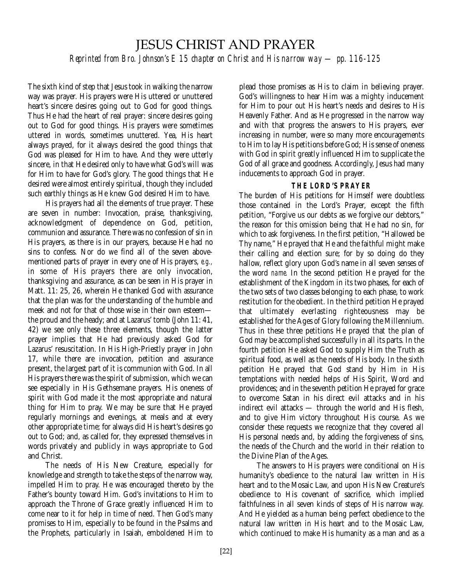# JESUS CHRIST AND PRAYER

*Reprinted from Bro. Johnson's E 15 chapter on Christ and His narrow way — pp. 116-125*

The sixth kind of step that Jesus took in walking the narrow way was prayer. His prayers were His uttered or unuttered heart's sincere desires going out to God for good things. Thus He had the heart of real prayer: sincere desires going out to God for good things. His prayers were sometimes uttered in words, sometimes unuttered. Yea, His heart always prayed, for it always desired the good things that God was pleased for Him to have. And they were utterly sincere, in that He desired only to have what God's will was for Him to have for God's glory. The good things that He desired were almost entirely spiritual, though they included such earthly things as He knew God desired Him to have.

His prayers had all the elements of true prayer. These are seven in number: Invocation, praise, thanksgiving, acknowledgment of dependence on God, petition, communion and assurance. There was no confession of sin in His prayers, as there is in our prayers, because He had no sins to confess. Nor do we find all of the seven abovementioned parts of prayer in every one of His prayers, *e.g.,* in some of His prayers there are only invocation, thanksgiving and assurance, as can be seen in His prayer in Matt. 11: 25, 26, wherein He thanked God with assurance that the plan was for the understanding of the humble and meek and not for that of those wise in their own esteem the proud and the heady; and at Lazarus' tomb (John 11: 41, 42) we see only these three elements, though the latter prayer implies that He had previously asked God for Lazarus' resuscitation. In His High-Priestly prayer in John 17, while there are invocation, petition and assurance present, the largest part of it is communion with God. In all His prayers there was the spirit of submission, which we can see especially in His Gethsemane prayers. His oneness of spirit with God made it the most appropriate and natural thing for Him to pray. We may be sure that He prayed regularly mornings and evenings, at meals and at every other appropriate time; for always did His heart's desires go out to God; and, as called for, they expressed themselves in words privately and publicly in ways appropriate to God and Christ.

The needs of His New Creature, especially for knowledge and strength to take the steps of the narrow way, impelled Him to pray. He was encouraged thereto by the Father's bounty toward Him. God's invitations to Him to approach the Throne of Grace greatly influenced Him to come near to it for help in time of need. Then God's many promises to Him, especially to be found in the Psalms and the Prophets, particularly in Isaiah, emboldened Him to

plead those promises as His to claim in believing prayer. God's willingness to hear Him was a mighty inducement for Him to pour out His heart's needs and desires to His Heavenly Father. And as He progressed in the narrow way and with that progress the answers to His prayers, ever increasing in number, were so many more encouragements to Him to lay His petitions before God; His sense of oneness with God in spirit greatly influenced Him to supplicate the God of all grace and goodness. Accordingly, Jesus had many inducements to approach God in prayer.

# **THE LORD'S PRAYER**

The burden of His petitions for Himself were doubtless those contained in the Lord's Prayer, except the fifth petition, "Forgive us our debts as we forgive our debtors," the reason for this omission being that He had no sin, for which to ask forgiveness. In the first petition, "Hallowed be Thy name," He prayed that He and the faithful might make their calling and election sure; for by so doing do they hallow, reflect glory upon God's name in all seven senses of the word *name.* In the second petition He prayed for the establishment of the Kingdom in its two phases, for each of the two sets of two classes belonging to each phase, to work restitution for the obedient. In the third petition He prayed that ultimately everlasting righteousness may be established for the Ages of Glory following the Millennium. Thus in these three petitions He prayed that the plan of God may be accomplished successfully in all its parts. In the fourth petition He asked God to supply Him the Truth as spiritual food, as well as the needs of His body. In the sixth petition He prayed that God stand by Him in His temptations with needed helps of His Spirit, Word and providences; and in the seventh petition He prayed for grace to overcome Satan in his direct evil attacks and in his indirect evil attacks — through the world and His flesh, and to give Him victory throughout His course. As we consider these requests we recognize that they covered all His personal needs and, by adding the forgiveness of sins, the needs of the Church and the world in their relation to the Divine Plan of the Ages.

The answers to His prayers were conditional on His humanity's obedience to the natural law written in His heart and to the Mosaic Law, and upon His New Creature's obedience to His covenant of sacrifice, which implied faithfulness in all seven kinds of steps of His narrow way. And He yielded as a human being perfect obedience to the natural law written in His heart and to the Mosaic Law, which continued to make His humanity as a man and as a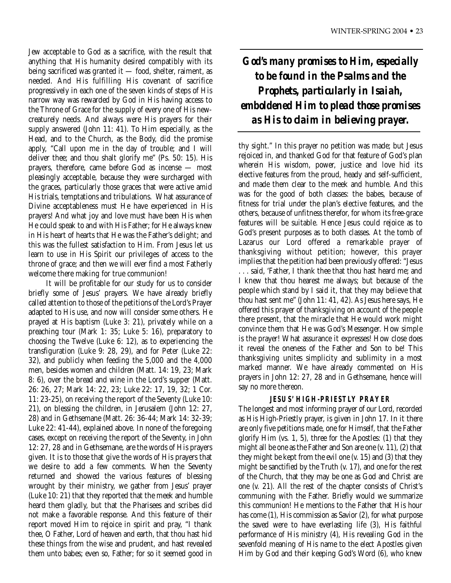Jew acceptable to God as a sacrifice, with the result that anything that His humanity desired compatibly with its being sacrificed was granted it — food, shelter, raiment, as needed. And His fulfilling His covenant of sacrifice progressively in each one of the seven kinds of steps of His narrow way was rewarded by God in His having access to the Throne of Grace for the supply of every one of His newcreaturely needs. And always were His prayers for their supply answered (John 11: 41). To Him especially, as the Head, and to the Church, as the Body, did the promise apply, "Call upon me in the day of trouble; and I will deliver thee; and thou shalt glorify me" (Ps. 50: 15). His prayers, therefore, came before God as incense — most pleasingly acceptable, because they were surcharged with the graces, particularly those graces that were active amid His trials, temptations and tribulations. What assurance of Divine acceptableness must He have experienced in His prayers! And what joy and love must have been His when He could speak to and with His Father; for He always knew in His heart of hearts that He was the Father's delight; and this was the fullest satisfaction to Him. From Jesus let us learn to use in His Spirit our privileges of access to the throne of grace; and then we will ever find a most Fatherly welcome there making for true communion!

It will be profitable for our study for us to consider briefly some of Jesus' prayers. We have already briefly called attention to those of the petitions of the Lord's Prayer adapted to His use, and now will consider some others. He prayed at His baptism (Luke 3: 21), privately while on a preaching tour (Mark 1: 35; Luke 5: 16), preparatory to choosing the Twelve (Luke 6: 12), as to experiencing the transfiguration (Luke 9: 28, 29), and for Peter (Luke 22: 32), and publicly when feeding the 5,000 and the 4,000 men, besides women and children (Matt. 14: 19, 23; Mark 8: 6), over the bread and wine in the Lord's supper (Matt. 26: 26, 27; Mark 14: 22, 23; Luke 22: 17, 19, 32; 1 Cor. 11: 23-25), on receiving the report of the Seventy (Luke 10: 21), on blessing the children, in Jerusalem (John 12: 27, 28) and in Gethsemane (Matt. 26: 36-44; Mark 14: 32-39; Luke 22: 41-44), explained above. In none of the foregoing cases, except on receiving the report of the Seventy, in John 12: 27, 28 and in Gethsemane, are the words of His prayers given. It is to those that give the words of His prayers that we desire to add a few comments. When the Seventy returned and showed the various features of blessing wrought by their ministry, we gather from Jesus' prayer (Luke 10: 21) that they reported that the meek and humble heard them gladly, but that the Pharisees and scribes did not make a favorable response. And this feature of their report moved Him to rejoice in spirit and pray, "I thank thee, O Father, Lord of heaven and earth, that thou hast hid these things from the wise and prudent, and hast revealed them unto babes; even so, Father; for so it seemed good in

# *God's many promises to Him, especially to be found in the Psalms and the Prophets, particularly in Isaiah, emboldened Him to plead those promises as His to claim in believing prayer.*

thy sight." In this prayer no petition was made; but Jesus rejoiced in, and thanked God for that feature of God's plan wherein His wisdom, power, justice and love hid its elective features from the proud, heady and self-sufficient, and made them clear to the meek and humble. And this was for the good of both classes: the babes, because of fitness for trial under the plan's elective features, and the others, because of unfitness therefor, for whom its free-grace features will be suitable. Hence Jesus could rejoice as to God's present purposes as to both classes. At the tomb of Lazarus our Lord offered a remarkable prayer of thanksgiving without petition; however, this prayer implies that the petition had been previously offered: "Jesus . . . said, 'Father, I thank thee that thou hast heard me; and I knew that thou hearest me always; but because of the people which stand by I said it, that they may believe that thou hast sent me" (John 11: 41, 42). As Jesus here says, He offered this prayer of thanksgiving on account of the people there present, that the miracle that He would work might convince them that He was God's Messenger. How simple is the prayer! What assurance it expresses! How close does it reveal the oneness of the Father and Son to be! This thanksgiving unites simplicity and sublimity in a most marked manner. We have already commented on His prayers in John 12: 27, 28 and in Gethsemane, hence will say no more thereon.

# **JESUS' HIGH-PRIESTLY PRAYER**

The longest and most informing prayer of our Lord, recorded as His High-Priestly prayer, is given in John 17. In it there are only five petitions made, one for Himself, that the Father glorify Him (vs. 1, 5), three for the Apostles: (1) that they might all be one as the Father and Son are one (v. 11), (2) that they might be kept from the evil one (v. 15) and (3) that they might be sanctified by the Truth (v. 17), and one for the rest of the Church, that they may be one as God and Christ are one (v. 21). All the rest of the chapter consists of Christ's communing with the Father. Briefly would we summarize this communion! He mentions to the Father that His hour has come (1), His commission as Savior (2), for what purpose the saved were to have everlasting life (3), His faithful performance of His ministry (4), His revealing God in the sevenfold meaning of His name to the elect Apostles given Him by God and their keeping God's Word (6), who knew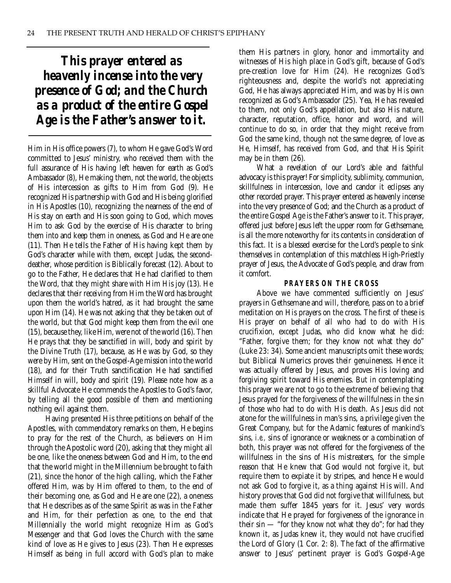*This prayer entered as heavenly incense into the very presence of God; and the Church as a product of the entire Gospel Age is the Father's answer to it.*

Him in His office powers (7), to whom He gave God's Word committed to Jesus' ministry, who received them with the full assurance of His having left heaven for earth as God's Ambassador (8), He making them, not the world, the objects of His intercession as gifts to Him from God (9). He recognized His partnership with God and His being glorified in His Apostles (10), recognizing the nearness of the end of His stay on earth and His soon going to God, which moves Him to ask God by the exercise of His character to bring them into and keep them in oneness, as God and He are one (11). Then He tells the Father of His having kept them by God's character while with them, except Judas, the seconddeather, whose perdition is Biblically forecast (12). About to go to the Father, He declares that He had clarified to them the Word, that they might share with Him His joy (13). He declares that their receiving from Him the Word has brought upon them the world's hatred, as it had brought the same upon Him (14). He was not asking that they be taken out of the world, but that God might keep them from the evil one (15), because they, like Him, were not of the world (16). Then He prays that they be sanctified in will, body and spirit by the Divine Truth (17), because, as He was by God, so they were by Him, sent on the Gospel-Age mission into the world (18), and for their Truth sanctification He had sanctified Himself in will, body and spirit (19). Please note how as a skillful Advocate He commends the Apostles to God's favor, by telling all the good possible of them and mentioning nothing evil against them.

Having presented His three petitions on behalf of the Apostles, with commendatory remarks on them, He begins to pray for the rest of the Church, as believers on Him through the Apostolic word (20), asking that they might all be one, like the oneness between God and Him, to the end that the world might in the Millennium be brought to faith (21), since the honor of the high calling, which the Father offered Him, was by Him offered to them, to the end of their becoming one, as God and He are one (22), a oneness that He describes as of the same Spirit as was in the Father and Him, for their perfection as one, to the end that Millennially the world might recognize Him as God's Messenger and that God loves the Church with the same kind of love as He gives to Jesus (23). Then He expresses Himself as being in full accord with God's plan to make

them His partners in glory, honor and immortality and witnesses of His high place in God's gift, because of God's pre-creation love for Him (24). He recognizes God's righteousness and, despite the world's not appreciating God, He has always appreciated Him, and was by His own recognized as God's Ambassador (25). Yea, He has revealed to them, not only God's appellation, but also His nature, character, reputation, office, honor and word, and will continue to do so, in order that they might receive from God the same kind, though not the same degree, of love as He, Himself, has received from God, and that His Spirit may be in them (26).

What a revelation of our Lord's able and faithful advocacy is this prayer! For simplicity, sublimity, communion, skillfulness in intercession, love and candor it eclipses any other recorded prayer. This prayer entered as heavenly incense into the very presence of God; and the Church as a product of the entire Gospel Age is the Father's answer to it. This prayer, offered just before Jesus left the upper room for Gethsemane, is all the more noteworthy for its contents in consideration of this fact. It is a blessed exercise for the Lord's people to sink themselves in contemplation of this matchless High-Priestly prayer of Jesus, the Advocate of God's people, and draw from it comfort.

#### **PRAYERS ON THE CROSS**

Above we have commented sufficiently on Jesus' prayers in Gethsemane and will, therefore, pass on to a brief meditation on His prayers on the cross. The first of these is His prayer on behalf of all who had to do with His crucifixion, except Judas, who did know what he did: "Father, forgive them; for they know not what they do" (Luke 23: 34). Some ancient manuscripts omit these words; but Biblical Numerics proves their genuineness. Hence it was actually offered by Jesus, and proves His loving and forgiving spirit toward His enemies. But in contemplating this prayer we are not to go to the extreme of believing that Jesus prayed for the forgiveness of the willfulness in the sin of those who had to do with His death. As Jesus did not atone for the willfulness in man's sins, a privilege given the Great Company, but for the Adamic features of mankind's sins, *i.e.,* sins of ignorance or weakness or a combination of both, this prayer was not offered for the forgiveness of the willfulness in the sins of His mistreaters, for the simple reason that He knew that God would not forgive it, but require them to expiate it by stripes, and hence He would not ask God to forgive it, as a thing against His will. And history proves that God did not forgive that willfulness, but made them suffer 1845 years for it. Jesus' very words indicate that He prayed for forgiveness of the ignorance in their sin — "for they know not what they do"; for had they known it, as Judas knew it, they would not have crucified the Lord of Glory (1 Cor. 2: 8). The fact of the affirmative answer to Jesus' pertinent prayer is God's Gospel-Age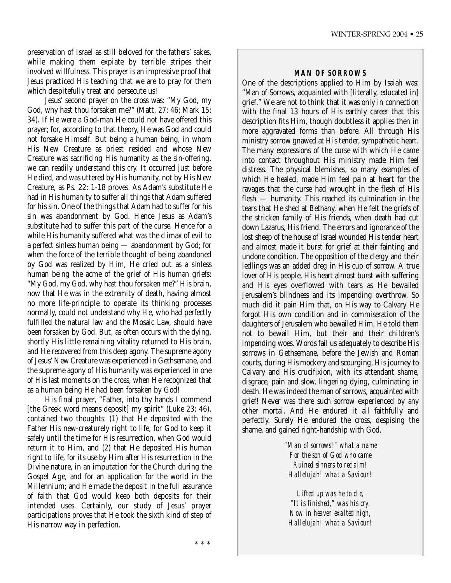preservation of Israel as still beloved for the fathers' sakes, while making them expiate by terrible stripes their involved willfulness. This prayer is an impressive proof that Jesus practiced His teaching that we are to pray for them which despitefully treat and persecute us!

Jesus' second prayer on the cross was: "My God, my God, why hast thou forsaken me?" (Matt. 27: 46; Mark 15: 34). If He were a God-man He could not have offered this prayer; for, according to that theory, He was God and could not forsake Himself. But being a human being, in whom His New Creature as priest resided and whose New Creature was sacrificing His humanity as the sin-offering, we can readily understand this cry. It occurred just before He died, and was uttered by His humanity, not by His New Creature, as Ps. 22: 1-18 proves. As Adam's substitute He had in His humanity to suffer all things that Adam suffered for his sin. One of the things that Adam had to suffer for his sin was abandonment by God. Hence Jesus as Adam's substitute had to suffer this part of the curse. Hence for a while His humanity suffered what was the climax of evil to a perfect sinless human being — abandonment by God; for when the force of the terrible thought of being abandoned by God was realized by Him, He cried out as a sinless human being the acme of the grief of His human griefs: "My God, my God, why hast thou forsaken me?" His brain, now that He was in the extremity of death, having almost no more life-principle to operate its thinking processes normally, could not understand why He, who had perfectly fulfilled the natural law and the Mosaic Law, should have been forsaken by God. But, as often occurs with the dying, shortly His little remaining vitality returned to His brain, and He recovered from this deep agony. The supreme agony of Jesus' New Creature was experienced in Gethsemane, and the supreme agony of His humanity was experienced in one of His last moments on the cross, when He recognized that as a human being He had been forsaken by God!

His final prayer, "Father, into thy hands I commend [the Greek word means deposit] my spirit" (Luke 23: 46), contained two thoughts: (1) that He deposited with the Father His new-creaturely right to life, for God to keep it safely until the time for His resurrection, when God would return it to Him, and (2) that He deposited His human right to life, for its use by Him after His resurrection in the Divine nature, in an imputation for the Church during the Gospel Age, and for an application for the world in the Millennium; and He made the deposit in the full assurance of faith that God would keep both deposits for their intended uses. Certainly, our study of Jesus' prayer participations proves that He took the sixth kind of step of His narrow way in perfection.

#### **MAN OF SORROWS**

One of the descriptions applied to Him by Isaiah was: "Man of Sorrows, acquainted with [literally, educated in] grief." We are not to think that it was only in connection with the final 13 hours of His earthly career that this description fits Him, though doubtless it applies then in more aggravated forms than before. All through His ministry sorrow gnawed at His tender, sympathetic heart. The many expressions of the curse with which He came into contact throughout His ministry made Him feel distress. The physical blemishes, so many examples of which He healed, made Him feel pain at heart for the ravages that the curse had wrought in the flesh of His flesh — humanity. This reached its culmination in the tears that He shed at Bethany, when He felt the griefs of the stricken family of His friends, when death had cut down Lazarus, His friend. The errors and ignorance of the lost sheep of the house of Israel wounded His tender heart and almost made it burst for grief at their fainting and undone condition. The opposition of the clergy and their ledlings was an added dreg in His cup of sorrow. A true lover of His people, His heart almost burst with suffering and His eyes overflowed with tears as He bewailed Jerusalem's blindness and its impending overthrow. So much did it pain Him that, on His way to Calvary He forgot His own condition and in commiseration of the daughters of Jerusalem who bewailed Him, He told them not to bewail Him, but their and their children's impending woes. Words fail us adequately to describe His sorrows in Gethsemane, before the Jewish and Roman courts, during His mockery and scourging, His journey to Calvary and His crucifixion, with its attendant shame, disgrace, pain and slow, lingering dying, culminating in death. He was indeed the man of sorrows, acquainted with grief! Never was there such sorrow experienced by any other mortal. And He endured it all faithfully and perfectly. Surely He endured the cross, despising the shame, and gained right-handship with God.

> *"Man of sorrows!" what a name For the son of God who came Ruined sinners to reclaim! Hallelujah! what a Saviour!*

*Lifted up was he to die, "It is finished," was his cry. Now in heaven exalted high, Hallelujah! what a Saviour!*

*\*\*\**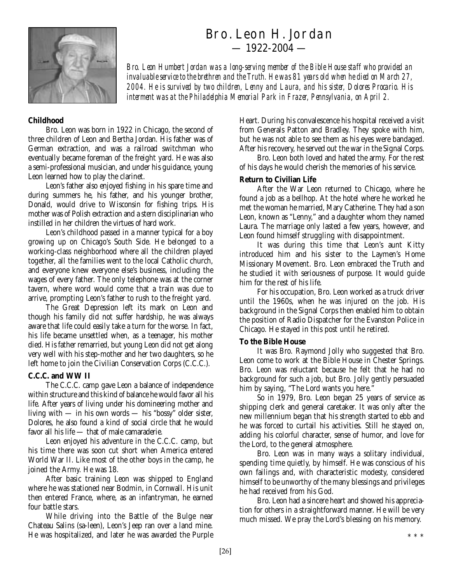

# Bro. Leon H. Jordan  $-1922 - 2004 -$

*Bro. Leon Humbert Jordan was a long-serving member of the Bible House staff who provided an invaluable service to the brethren and the Truth. He was 81 years old when he died on March 27, 2004. He is survived by two children, Lenny and Laura, and his sister, Dolores Procario. His interment was at the Philadelphia Memorial Park in Frazer, Pennsylvania, on April 2.*

### **Childhood**

Bro. Leon was born in 1922 in Chicago, the second of three children of Leon and Bertha Jordan. His father was of German extraction, and was a railroad switchman who eventually became foreman of the freight yard. He was also a semi-professional musician, and under his guidance, young Leon learned how to play the clarinet.

Leon's father also enjoyed fishing in his spare time and during summers he, his father, and his younger brother, Donald, would drive to Wisconsin for fishing trips. His mother was of Polish extraction and a stern disciplinarian who instilled in her children the virtues of hard work.

Leon's childhood passed in a manner typical for a boy growing up on Chicago's South Side. He belonged to a working-class neighborhood where all the children played together, all the families went to the local Catholic church, and everyone knew everyone else's business, including the wages of every father. The only telephone was at the corner tavern, where word would come that a train was due to arrive, prompting Leon's father to rush to the freight yard.

The Great Depression left its mark on Leon and though his family did not suffer hardship, he was always aware that life could easily take a turn for the worse. In fact, his life became unsettled when, as a teenager, his mother died. His father remarried, but young Leon did not get along very well with his step-mother and her two daughters, so he left home to join the Civilian Conservation Corps (C.C.C.).

# **C.C.C. and WW II**

The C.C.C. camp gave Leon a balance of independence within structure and this kind of balance he would favor all his life. After years of living under his domineering mother and living with — in his own words — his "bossy" older sister, Dolores, he also found a kind of social circle that he would favor all his life — that of male camaraderie.

Leon enjoyed his adventure in the C.C.C. camp, but his time there was soon cut short when America entered World War II. Like most of the other boys in the camp, he joined the Army. He was 18.

After basic training Leon was shipped to England where he was stationed near Bodmin, in Cornwall. His unit then entered France, where, as an infantryman, he earned four battle stars.

While driving into the Battle of the Bulge near Chateau Salins (sa-leen), Leon's Jeep ran over a land mine. He was hospitalized, and later he was awarded the Purple

Heart. During his convalescence his hospital received a visit from Generals Patton and Bradley. They spoke with him, but he was not able to see them as his eyes were bandaged. After his recovery, he served out the war in the Signal Corps.

Bro. Leon both loved and hated the army. For the rest of his days he would cherish the memories of his service.

#### **Return to Civilian Life**

After the War Leon returned to Chicago, where he found a job as a bellhop. At the hotel where he worked he met the woman he married, Mary Catherine. They had a son Leon, known as "Lenny," and a daughter whom they named Laura. The marriage only lasted a few years, however, and Leon found himself struggling with disappointment.

It was during this time that Leon's aunt Kitty introduced him and his sister to the Laymen's Home Missionary Movement. Bro. Leon embraced the Truth and he studied it with seriousness of purpose. It would guide him for the rest of his life.

For his occupation, Bro. Leon worked as a truck driver until the 1960s, when he was injured on the job. His background in the Signal Corps then enabled him to obtain the position of Radio Dispatcher for the Evanston Police in Chicago. He stayed in this post until he retired.

#### **To the Bible House**

It was Bro. Raymond Jolly who suggested that Bro. Leon come to work at the Bible House in Chester Springs. Bro. Leon was reluctant because he felt that he had no background for such a job, but Bro. Jolly gently persuaded him by saying, "The Lord wants you here."

So in 1979, Bro. Leon began 25 years of service as shipping clerk and general caretaker. It was only after the new millennium began that his strength started to ebb and he was forced to curtail his activities. Still he stayed on, adding his colorful character, sense of humor, and love for the Lord, to the general atmosphere.

Bro. Leon was in many ways a solitary individual, spending time quietly, by himself. He was conscious of his own failings and, with characteristic modesty, considered himself to be unworthy of the many blessings and privileges he had received from his God.

Bro. Leon had a sincere heart and showed his appreciation for others in a straightforward manner. He will be very much missed. We pray the Lord's blessing on his memory.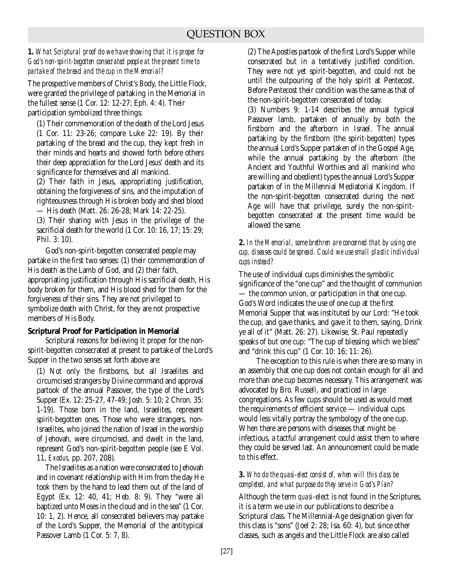*1. What Scriptural proof do we have showing that it is proper for God's non-spirit-begotten consecrated people at the present time to partake of the bread and the cup in the Memorial?*

The prospective members of Christ's Body, the Little Flock, were granted the privilege of partaking in the Memorial in the fullest sense (1 Cor. 12: 12-27; Eph. 4: 4). Their participation symbolized three things:

(1) Their commemoration of the death of the Lord Jesus (1 Cor. 11: 23-26; compare Luke 22: 19). By their partaking of the bread and the cup, they kept fresh in their minds and hearts and showed forth before others their deep appreciation for the Lord Jesus' death and its significance for themselves and all mankind.

(2) Their faith in Jesus, appropriating justification, obtaining the forgiveness of sins, and the imputation of righteousness through His broken body and shed blood — His death (Matt. 26: 26-28; Mark 14: 22-25).

(3) Their sharing with Jesus in the privilege of the sacrificial death for the world (1 Cor. 10: 16, 17; 15: 29; Phil. 3: 10).

God's non-spirit-begotten consecrated people may partake in the first two senses: (1) their commemoration of His death as the Lamb of God, and (2) their faith, appropriating justification through His sacrificial death, His body broken for them, and His blood shed for them for the forgiveness of their sins. They are not privileged to symbolize death with Christ, for they are not prospective members of His Body.

# **Scriptural Proof for Participation in Memorial**

Scriptural reasons for believing it proper for the nonspirit-begotten consecrated at present to partake of the Lord's Supper in the two senses set forth above are:

(1) Not only the firstborns, but all Israelites and circumcised strangers by Divine command and approval partook of the annual Passover, the type of the Lord's Supper (Ex. 12: 25-27, 47-49; Josh. 5: 10; 2 Chron. 35: 1-19). Those born in the land, Israelites, represent spirit-begotten ones. Those who were strangers, non-Israelites, who joined the nation of Israel in the worship of Jehovah, were circumcised, and dwelt in the land, represent God's non-spirit-begotten people (see E Vol. 11, *Exodus,* pp. 207, 208).

The Israelites as a nation were consecrated to Jehovah and in covenant relationship with Him from the day He took them by the hand to lead them out of the land of Egypt (Ex. 12: 40, 41; Heb. 8: 9). They "were all baptized unto Moses in the cloud and in the sea" (1 Cor. 10: 1, 2). Hence, all consecrated believers may partake of the Lord's Supper, the Memorial of the antitypical Passover Lamb (1 Cor. 5: 7, 8).

(2) The Apostles partook of the first Lord's Supper while consecrated but in a tentatively justified condition. They were not yet spirit-begotten, and could not be until the outpouring of the holy spirit at Pentecost. Before Pentecost their condition was the same as that of the non-spirit-begotten consecrated of today.

(3) Numbers 9: 1-14 describes the annual typical Passover lamb, partaken of annually by both the firstborn and the afterborn in Israel. The annual partaking by the firstborn (the spirit-begotten) types the annual Lord's Supper partaken of in the Gospel Age, while the annual partaking by the afterborn (the Ancient and Youthful Worthies and all mankind who are willing and obedient) types the annual Lord's Supper partaken of in the Millennial Mediatorial Kingdom. If the non-spirit-begotten consecrated during the next Age will have that privilege, surely the non-spiritbegotten consecrated at the present time would be allowed the same.

# *2. In the Memorial, some brethren are concerned that by using one cup, diseases could be spread. Could we use small plastic individual cups instead?*

The use of individual cups diminishes the symbolic significance of the "one cup" and the thought of communion — the common union, or participation in that one cup. God's Word indicates the use of one cup at the first Memorial Supper that was instituted by our Lord: "He took the cup, and gave thanks, and gave it to them, saying, Drink ye all of it" (Matt. 26: 27). Likewise, St. Paul repeatedly speaks of but one cup: "The cup of blessing which we bless" and "drink this cup" (1 Cor. 10: 16; 11: 26).

The exception to this rule is when there are so many in an assembly that one cup does not contain enough for all and more than one cup becomes necessary. This arrangement was advocated by Bro. Russell, and practiced in large congregations. As few cups should be used as would meet the requirements of efficient service — individual cups would less vitally portray the symbology of the one cup. When there are persons with diseases that might be infectious, a tactful arrangement could assist them to where they could be served last. An announcement could be made to this effect.

#### *3. Who do the quasi-elect consist of, when will this class be completed, and what purpose do they serve in God's Plan?*

Although the term *quasi*-elect is not found in the Scriptures, it is a term we use in our publications to describe a Scriptural class. The Millennial-Age designation given for this class is "sons" (Joel 2: 28; Isa. 60: 4), but since other classes, such as angels and the Little Flock are also called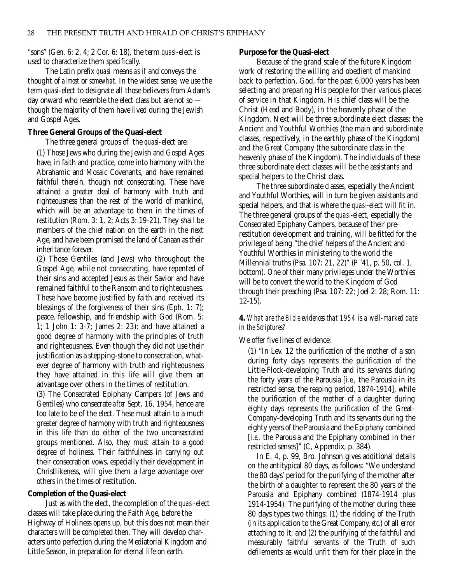"sons" (Gen. 6: 2, 4; 2 Cor. 6: 18), the term *quasi*-elect is used to characterize them specifically.

The Latin prefix *quasi* means *as if* and conveys the thought of *almost* or *somewhat*. In the widest sense, we use the term *quasi*-elect to designate all those believers from Adam's day onward who resemble the elect class but are not so though the majority of them have lived during the Jewish and Gospel Ages.

#### **Three General Groups of the Quasi-elect**

The three general groups of the *quasi-*elect are:

(1) Those Jews who during the Jewish and Gospel Ages have, in faith and practice, come into harmony with the Abrahamic and Mosaic Covenants, and have remained faithful therein, though not consecrating. These have attained a greater deal of harmony with truth and righteousness than the rest of the world of mankind, which will be an advantage to them in the times of restitution (Rom. 3: 1, 2; Acts 3: 19-21). They shall be members of the chief nation on the earth in the next Age, and have been promised the land of Canaan as their inheritance forever.

(2) Those Gentiles (and Jews) who throughout the Gospel Age, while not consecrating, have repented of their sins and accepted Jesus as their Savior and have remained faithful to the Ransom and to righteousness. These have become justified by faith and received its blessings of the forgiveness of their sins (Eph. 1: 7); peace, fellowship, and friendship with God (Rom. 5: 1; 1 John 1: 3-7; James 2: 23); and have attained a good degree of harmony with the principles of truth and righteousness. Even though they did not use their justification as a stepping-stone to consecration, whatever degree of harmony with truth and righteousness they have attained in this life will give them an advantage over others in the times of restitution.

(3) The Consecrated Epiphany Campers (of Jews and Gentiles) who consecrate *after* Sept. 16, 1954, hence are too late to be of the elect. These must attain to a much greater degree of harmony with truth and righteousness in this life than do either of the two unconsecrated groups mentioned. Also, they must attain to a good degree of holiness. Their faithfulness in carrying out their consecration vows, especially their development in Christlikeness, will give them a large advantage over others in the times of restitution.

#### **Completion of the Quasi-elect**

Just as with the elect, the completion of the *quasi-*elect classes will take place during the Faith Age, before the Highway of Holiness opens up, but this does not mean their characters will be completed then. They will develop characters unto perfection during the Mediatorial Kingdom and Little Season, in preparation for eternal life on earth.

#### **Purpose for the Quasi-elect**

Because of the grand scale of the future Kingdom work of restoring the willing and obedient of mankind back to perfection, God, for the past 6,000 years has been selecting and preparing His people for their various places of service in that Kingdom. His chief class will be the Christ (Head and Body), in the heavenly phase of the Kingdom. Next will be three subordinate elect classes: the Ancient and Youthful Worthies (the main and subordinate classes, respectively, in the earthly phase of the Kingdom) and the Great Company (the subordinate class in the heavenly phase of the Kingdom). The individuals of these three subordinate elect classes will be the assistants and special helpers to the Christ class.

The three subordinate classes, especially the Ancient and Youthful Worthies, will in turn be given assistants and special helpers, and that is where the *quasi*-elect will fit in. The three general groups of the *quasi*-elect, especially the Consecrated Epiphany Campers, because of their prerestitution development and training, will be fitted for the privilege of being "the chief helpers of the Ancient and Youthful Worthies in ministering to the world the Millennial truths (Psa. 107: 21, 22)" (P '41, p. 50, col. 1, bottom). One of their many privileges under the Worthies will be to convert the world to the Kingdom of God through their preaching (Psa. 107: 22; Joel 2: 28; Rom. 11: 12-15).

#### **4.** *What are the Bible evidences that 1954 is a well-marked date in the Scriptures?*

We offer five lines of evidence:

(1) "In Lev. 12 the purification of the mother of a son during forty days represents the purification of the Little-Flock-developing Truth and its servants during the forty years of the Parousia [*i.e.,* the Parousia in its restricted sense, the reaping period, 1874-1914], while the purification of the mother of a daughter during eighty days represents the purification of the Great-Company-developing Truth and its servants during the eighty years of the Parousia and the Epiphany combined [*i.e.,* the Parousia and the Epiphany combined in their restricted senses]" (C, Appendix, p. 384).

In E. 4, p. 99, Bro. Johnson gives additional details on the antitypical 80 days, as follows: "We understand the 80 days' period for the purifying of the mother after the birth of a daughter to represent the 80 years of the Parousia and Epiphany combined (1874-1914 plus 1914-1954). The purifying of the mother during these 80 days types two things: (1) the ridding of the Truth (in its application to the Great Company, *etc*.) of all error attaching to it; and (2) the purifying of the faithful and measurably faithful servants of the Truth of such defilements as would unfit them for their place in the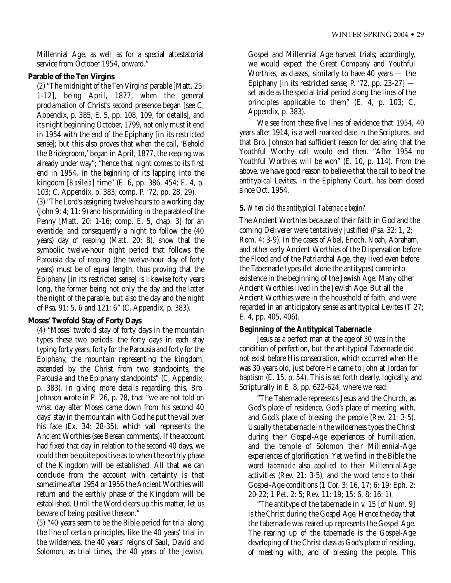Millennial Age, as well as for a special attestatorial service from October 1954, onward."

# **Parable of the Ten Virgins**

(2) "The midnight of the Ten Virgins' parable [Matt. 25: 1-12], being April, 1877, when the general proclamation of Christ's second presence began [see C, Appendix, p. 385, E. 5, pp. 108, 109, for details], and its night beginning October, 1799, not only must it end in 1954 with the end of the Epiphany [in its restricted sense]; but this also proves that when the call, 'Behold the Bridegroom,' began in April, 1877, the reaping was already under way"; "hence that night comes to its first end in 1954, in the *beginning* of its lapping into the kingdom [*Basileia*] time" (E. 6, pp. 386, 454; E. 4, p. 103; C, Appendix, p. 383; comp. P. '72, pp. 28, 29).

(3) "The Lord's assigning twelve hours to a working day (John 9: 4; 11: 9) and his providing in the parable of the Penny [Matt. 20: 1-16; comp. E. 5, chap. 3] for an eventide, and consequently a night to follow the (40 years) day of reaping (Matt. 20: 8), show that the symbolic twelve-hour night period that follows the Parousia day of reaping (the twelve-hour day of forty years) must be of equal length, thus proving that the Epiphany [in its restricted sense] is likewise forty years long, the former being not only the day and the latter the night of the parable, but also the day and the night of Psa. 91: 5, 6 and 121: 6" (C, Appendix, p. 383).

# **Moses' Twofold Stay of Forty Days**

(4) "Moses' twofold stay of forty days in the mountain types these two periods: the forty days in each stay typing forty years, forty for the Parousia and forty for the Epiphany, the mountain representing the kingdom, ascended by the Christ from two standpoints, the Parousia and the Epiphany standpoints" (C, Appendix, p. 383). In giving more details regarding this, Bro. Johnson wrote in P. '26, p. 78, that "we are not told on what day after Moses came down from his second 40 days' stay in the mountain with God he put the vail over his face (Ex. 34: 28-35), which vail represents the Ancient Worthies (see Berean comments). If the account had fixed that day in relation to the second 40 days, we could then be quite positive as to when the earthly phase of the Kingdom will be established. All that we can conclude from the account with certainty is that sometime after 1954 or 1956 the Ancient Worthies will return and the earthly phase of the Kingdom will be established. Until the Word clears up this matter, let us beware of being positive thereon."

(5) "40 years seem to be the Bible period for trial along the line of certain principles, like the 40 years' trial in the wilderness, the 40 years' reigns of Saul, David and Solomon, as trial times, the 40 years of the Jewish,

Gospel and Millennial Age harvest trials; accordingly, we would expect the Great Company and Youthful Worthies, as classes, similarly to have 40 years — the Epiphany [in its restricted sense; P. '72, pp. 23-27] set aside as the special trial period along the lines of the principles applicable to them" (E. 4, p. 103; C, Appendix, p. 383).

We see from these five lines of evidence that 1954, 40 years after 1914, is a well-marked date in the Scriptures, and that Bro. Johnson had sufficient reason for declaring that the Youthful Worthy call would end then. "After 1954 no Youthful Worthies will be won" (E. 10, p. 114). From the above, we have good reason to believe that the call to be of the antitypical Levites, in the Epiphany Court, has been closed since Oct. 1954.

# **5.** *When did the antitypical Tabernacle begin?*

The Ancient Worthies because of their faith in God and the coming Deliverer were tentatively justified (Psa. 32: 1, 2; Rom. 4: 3-9). In the cases of Abel, Enoch, Noah, Abraham, and other early Ancient Worthies of the Dispensation before the Flood and of the Patriarchal Age, they lived even before the Tabernacle types (let alone the antitypes) came into existence in the beginning of the Jewish Age. Many other Ancient Worthies lived in the Jewish Age. But all the Ancient Worthies were in the household of faith, and were regarded in an anticipatory sense as antitypical Levites (T 27; E. 4, pp. 405, 406).

# **Beginning of the Antitypical Tabernacle**

Jesus as a perfect man at the age of 30 was in the condition of perfection, but the antitypical Tabernacle did not exist before His consecration, which occurred when He was 30 years old, just before He came to John at Jordan for baptism (E. 15, p. 54). This is set forth clearly, logically, and Scripturally in E. 8, pp. 622-624, where we read:

"The Tabernacle represents Jesus and the Church, as God's place of residence, God's place of meeting with, and God's place of blessing the people (Rev. 21: 3-5). Usually the tabernacle in the wilderness types the Christ during their Gospel-Age experiences of humiliation, and the temple of Solomon their Millennial-Age experiences of glorification. Yet we find in the Bible the word *tabernacle* also applied to their Millennial-Age activities (Rev. 21: 3-5), and the word *temple* to their Gospel-Age conditions (1 Cor. 3: 16, 17; 6: 19; Eph. 2: 20-22; 1 Pet. 2: 5; Rev. 11: 19; 15: 6, 8; 16: 1).

"The antitype of the tabernacle in v. 15 [of Num. 9] is the Christ during the Gospel Age. Hence the day that the tabernacle was reared up represents the Gospel Age. The rearing up of the tabernacle is the Gospel-Age developing of the Christ class as God's place of residing, of meeting with, and of blessing the people. This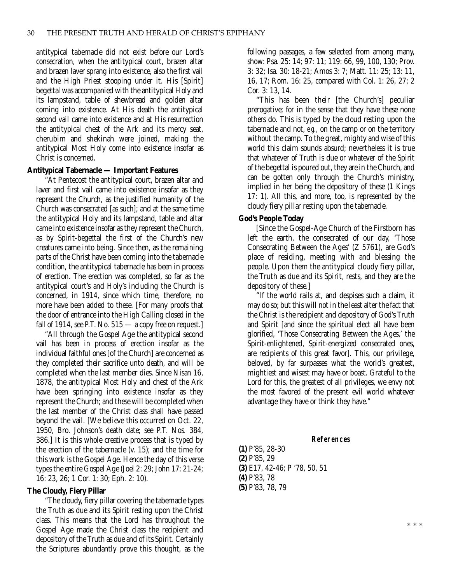antitypical tabernacle did not exist before our Lord's consecration, when the antitypical court, brazen altar and brazen laver sprang into existence, also the first vail and the High Priest stooping under it. His [Spirit] begettal was accompanied with the antitypical Holy and its lampstand, table of shewbread and golden altar coming into existence. At His death the antitypical second vail came into existence and at His resurrection the antitypical chest of the Ark and its mercy seat, cherubim and shekinah were joined, making the antitypical Most Holy come into existence insofar as Christ is concerned.

#### **Antitypical Tabernacle — Important Features**

"At Pentecost the antitypical court, brazen altar and laver and first vail came into existence insofar as they represent the Church, as the justified humanity of the Church was consecrated [as such]; and at the same time the antitypical Holy and its lampstand, table and altar came into existence insofar as they represent the Church, as by Spirit-begettal the first of the Church's new creatures came into being. Since then, as the remaining parts of the Christ have been coming into the tabernacle condition, the antitypical tabernacle has been in process of erection. The erection was completed, so far as the antitypical court's and Holy's including the Church is concerned, in 1914, since which time, therefore, no more have been added to these. [For many proofs that the door of entrance into the High Calling closed in the fall of 1914, see P.T. No.  $515 - a$  copy free on request.

"All through the Gospel Age the antitypical second vail has been in process of erection insofar as the individual faithful ones [of the Church] are concerned as they completed their sacrifice unto death, and will be completed when the last member dies. Since Nisan 16, 1878, the antitypical Most Holy and chest of the Ark have been springing into existence insofar as they represent the Church; and these will be completed when the last member of the Christ class shall have passed beyond the vail. [We believe this occurred on Oct. 22, 1950, Bro. Johnson's death date; see P.T. Nos. 384, 386.] It is this whole creative process that is typed by the erection of the tabernacle (v. 15); and the time for this work is the Gospel Age. Hence the day of this verse types the entire Gospel Age (Joel 2: 29; John 17: 21-24; 16: 23, 26; 1 Cor. 1: 30; Eph. 2: 10).

#### **The Cloudy, Fiery Pillar**

"The cloudy, fiery pillar covering the tabernacle types the Truth as due and its Spirit resting upon the Christ class. This means that the Lord has throughout the Gospel Age made the Christ class the recipient and depository of the Truth as due and of its Spirit. Certainly the Scriptures abundantly prove this thought, as the following passages, a few selected from among many, show: Psa. 25: 14; 97: 11; 119: 66, 99, 100, 130; Prov. 3: 32; Isa. 30: 18-21; Amos 3: 7; Matt. 11: 25; 13: 11, 16, 17; Rom. 16: 25, compared with Col. 1: 26, 27; 2 Cor. 3: 13, 14.

"This has been their [the Church's] peculiar prerogative; for in the sense that they have these none others do. This is typed by the cloud resting upon the tabernacle and not, *e.g.,* on the camp or on the territory without the camp. To the great, mighty and wise of this world this claim sounds absurd; nevertheless it is true that whatever of Truth is due or whatever of the Spirit of the begettal is poured out, they are in the Church, and can be gotten only through the Church's ministry, implied in her being the depository of these (1 Kings 17: 1). All this, and more, too, is represented by the cloudy fiery pillar resting upon the tabernacle.

#### **God's People Today**

[Since the Gospel-Age Church of the Firstborn has left the earth, the consecrated of our day, 'Those Consecrating Between the Ages' (Z 5761), are God's place of residing, meeting with and blessing the people. Upon them the antitypical cloudy fiery pillar, the Truth as due and its Spirit, rests, and they are the depository of these.]

"If the world rails at, and despises such a claim, it may do so; but this will not in the least alter the fact that the Christ is the recipient and depository of God's Truth and Spirit [and since the spiritual elect all have been glorified, 'Those Consecrating Between the Ages,' the Spirit-enlightened, Spirit-energized consecrated ones, are recipients of this great favor]. This, our privilege, beloved, by far surpasses what the world's greatest, mightiest and wisest may have or boast. Grateful to the Lord for this, the greatest of all privileges, we envy not the most favored of the present evil world whatever advantage they have or think they have."

#### **References (1)** P'85, 28-30 **(2)** P'85, 29 **(3)** E17, 42-46; P '78, 50, 51 **(4)** P'83, 78 **(5)** P'83, 78, 79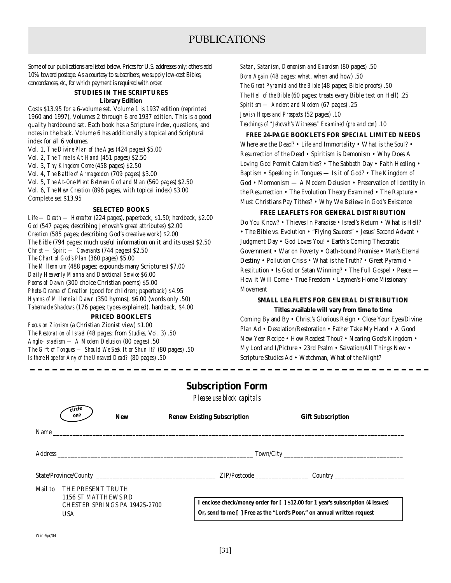# PUBLICATIONS

Some of our publications are listed below. Prices for U.S. addresses *only;* others add 10% toward postage. As a courtesy to subscribers, we supply low-cost Bibles, concordances, *etc.,* for which payment is required with order.

#### **STUDIES IN THE SCRIPTURES Library Edition**

Costs \$13.95 for a 6-volume set. Volume 1 is 1937 edition (reprinted 1960 and 1997), Volumes 2 through 6 are 1937 edition. This is a good quality hardbound set. Each book has a Scripture index, questions, and notes in the back. Volume 6 has additionally a topical and Scriptural index for all 6 volumes.

Vol. 1, *The Divine Plan of the Ages* (424 pages) \$5.00

Vol. 2, *The Time Is At Hand* (451 pages) \$2.50

Vol. 3, *Thy Kingdom Come* (458 pages) \$2.50

Vol. 4, *The Battle of Armageddon* (709 pages) \$3.00

Vol. 5, *The At-One-Ment Between God and Man* (560 pages) \$2.50

Vol. 6, *The New Creation* (896 pages, with topical index) \$3.00 Complete set \$13.95

#### **SELECTED BOOKS**

*Life — Death — Hereafter* (224 pages), paperback, \$1.50; hardback, \$2.00 *God* (547 pages; describing Jehovah's great attributes) \$2.00 *Creation* (585 pages; describing God's creative work) \$2.00 *The Bible* (794 pages; much useful information on it and its uses) \$2.50 *Christ — Spirit — Covenants* (744 pages) \$2.50 *The Chart of God's Plan* (360 pages) \$5.00 *The Millennium* (488 pages; expounds many Scriptures) \$7.00 *Daily Heavenly Manna and Devotional Service* \$6.00 *Poems of Dawn* (300 choice Christian poems) \$5.00 *Photo-Drama of Creation* (good for children; paperback) \$4.95 *Hymns of Millennial Dawn* (350 hymns), \$6.00 (words only .50) *Tabernacle Shadows* (176 pages; types explained), hardback, \$4.00

### **PRICED BOOKLETS**

*Focus on Zionism* (a Christian Zionist view) \$1.00 *The Restoration of Israel* (48 pages; from *Studies,* Vol. 3) .50 *Anglo-Israelism — A Modern Delusion* (80 pages) .50 *The Gift of Tongues — Should We Seek It or Shun It?* (80 pages) .50 *Is there Hope for Any of the Unsaved Dead?* (80 pages) .50

*Satan, Satanism, Demonism and Exorcism* (80 pages) .50 *Born Again* (48 pages; what, when and how) .50 *The Great Pyramid and the Bible* (48 pages; Bible proofs) .50 *The Hell of the Bible* (60 pages; treats every Bible text on Hell) .25 *Spiritism — Ancient and Modern* (67 pages) .25 *Jewish Hopes and Prospects* (52 pages) .10 *Teachings of "Jehovah's Witnesses" Examined* (*pro* and *con*) .10

**FREE 24-PAGE BOOKLETS FOR SPECIAL LIMITED NEEDS** Where are the Dead? • Life and Immortality • What is the Soul? • Resurrection of the Dead • Spiritism is Demonism • Why Does A Loving God Permit Calamities? • The Sabbath Day • Faith Healing • Baptism • Speaking in Tongues — Is it of God? • The Kingdom of God • Mormonism — A Modern Delusion • Preservation of Identity in the Resurrection • The Evolution Theory Examined • The Rapture • Must Christians Pay Tithes? • Why We Believe in God's Existence

#### **FREE LEAFLETS FOR GENERAL DISTRIBUTION**

Do You Know? • Thieves In Paradise • Israel's Return • What is Hell? • The Bible vs. Evolution • "Flying Saucers" • Jesus' Second Advent • Judgment Day • God Loves You! • Earth's Coming Theocratic Government • War on Poverty • Oath-bound Promise • Man's Eternal Destiny • Pollution Crisis • What is the Truth? • Great Pyramid • Restitution • Is God or Satan Winning? • The Full Gospel • Peace — How it Will Come • True Freedom • Laymen's Home Missionary Movement

#### **SMALL LEAFLETS FOR GENERAL DISTRIBUTION**

**Titles available will vary from time to time** Coming By and By • Christ's Glorious Reign • Close Your Eyes/Divine

Plan Ad • Desolation/Restoration • Father Take My Hand • A Good New Year Recipe • How Readest Thou? • Nearing God's Kingdom • My Lord and I/Picture • 23rd Psalm • Salvation/All Things New • Scripture Studies Ad • Watchman, What of the Night?

# **Subscription Form**

*Please use block capitals*

|         | $\tilde{\rm cr}$ cle<br>one<br><b>New</b>                                               | <b>Renew Existing Subscription</b> | <b>Gift Subscription</b>                                                                                                                                    |
|---------|-----------------------------------------------------------------------------------------|------------------------------------|-------------------------------------------------------------------------------------------------------------------------------------------------------------|
|         | Name $\frac{1}{2}$                                                                      |                                    |                                                                                                                                                             |
|         |                                                                                         |                                    |                                                                                                                                                             |
|         |                                                                                         |                                    |                                                                                                                                                             |
| Mail to | THE PRESENT TRUTH<br>1156 ST MATTHEWS RD<br>CHESTER SPRINGS PA 19425-2700<br><b>USA</b> |                                    | I enclose check/money order for [ ] \$12.00 for 1 year's subscription (4 issues)<br>Or, send to me [ ] Free as the "Lord's Poor," on annual written request |